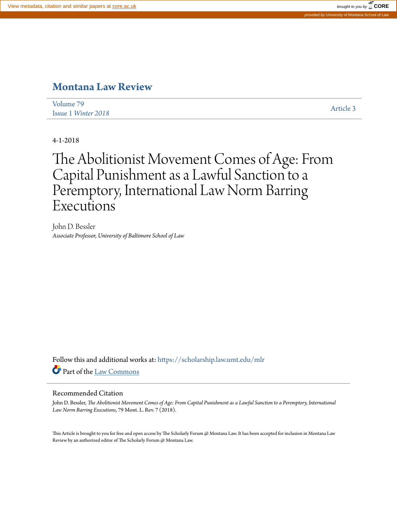## **[Montana Law Review](https://scholarship.law.umt.edu/mlr?utm_source=scholarship.law.umt.edu%2Fmlr%2Fvol79%2Fiss1%2F3&utm_medium=PDF&utm_campaign=PDFCoverPages)**

[Volume 79](https://scholarship.law.umt.edu/mlr/vol79?utm_source=scholarship.law.umt.edu%2Fmlr%2Fvol79%2Fiss1%2F3&utm_medium=PDF&utm_campaign=PDFCoverPages) Issue 1 *[Winter 2018](https://scholarship.law.umt.edu/mlr/vol79/iss1?utm_source=scholarship.law.umt.edu%2Fmlr%2Fvol79%2Fiss1%2F3&utm_medium=PDF&utm_campaign=PDFCoverPages)* [Article 3](https://scholarship.law.umt.edu/mlr/vol79/iss1/3?utm_source=scholarship.law.umt.edu%2Fmlr%2Fvol79%2Fiss1%2F3&utm_medium=PDF&utm_campaign=PDFCoverPages)

4-1-2018

# The Abolitionist Movement Comes of Age: From Capital Punishment as a Lawful Sanction to a Peremptory, International Law Norm Barring **Executions**

John D. Bessler *Associate Professor, University of Baltimore School of Law*

Follow this and additional works at: [https://scholarship.law.umt.edu/mlr](https://scholarship.law.umt.edu/mlr?utm_source=scholarship.law.umt.edu%2Fmlr%2Fvol79%2Fiss1%2F3&utm_medium=PDF&utm_campaign=PDFCoverPages) Part of the [Law Commons](http://network.bepress.com/hgg/discipline/578?utm_source=scholarship.law.umt.edu%2Fmlr%2Fvol79%2Fiss1%2F3&utm_medium=PDF&utm_campaign=PDFCoverPages)

#### Recommended Citation

John D. Bessler, *The Abolitionist Movement Comes of Age: From Capital Punishment as a Lawful Sanction to a Peremptory, International Law Norm Barring Executions*, 79 Mont. L. Rev. 7 (2018).

This Article is brought to you for free and open access by The Scholarly Forum @ Montana Law. It has been accepted for inclusion in Montana Law Review by an authorized editor of The Scholarly Forum @ Montana Law.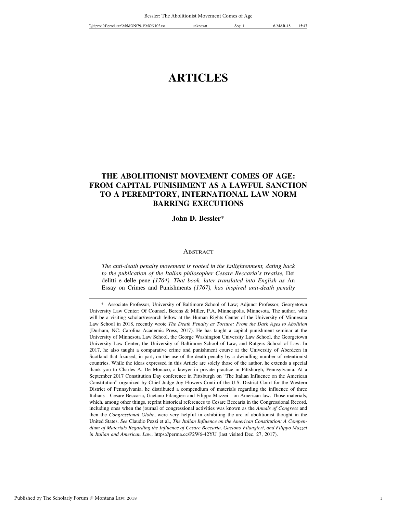### **ARTICLES**

#### **THE ABOLITIONIST MOVEMENT COMES OF AGE: FROM CAPITAL PUNISHMENT AS A LAWFUL SANCTION TO A PEREMPTORY, INTERNATIONAL LAW NORM BARRING EXECUTIONS**

**John D. Bessler**\*

#### **ABSTRACT**

*The anti-death penalty movement is rooted in the Enlightenment, dating back to the publication of the Italian philosopher Cesare Beccaria's treatise,* Dei delitti e delle pene *(1764). That book, later translated into English as* An Essay on Crimes and Punishments *(1767), has inspired anti-death penalty*

<sup>\*</sup> Associate Professor, University of Baltimore School of Law; Adjunct Professor, Georgetown University Law Center; Of Counsel, Berens & Miller, P.A, Minneapolis, Minnesota. The author, who will be a visiting scholar/research fellow at the Human Rights Center of the University of Minnesota Law School in 2018, recently wrote *The Death Penalty as Torture: From the Dark Ages to Abolition* (Durham, NC: Carolina Academic Press, 2017). He has taught a capital punishment seminar at the University of Minnesota Law School, the George Washington University Law School, the Georgetown University Law Center, the University of Baltimore School of Law, and Rutgers School of Law. In 2017, he also taught a comparative crime and punishment course at the University of Aberdeen in Scotland that focused, in part, on the use of the death penalty by a dwindling number of retentionist countries. While the ideas expressed in this Article are solely those of the author, he extends a special thank you to Charles A. De Monaco, a lawyer in private practice in Pittsburgh, Pennsylvania. At a September 2017 Constitution Day conference in Pittsburgh on "The Italian Influence on the American Constitution" organized by Chief Judge Joy Flowers Conti of the U.S. District Court for the Western District of Pennsylvania, he distributed a compendium of materials regarding the influence of three Italians—Cesare Beccaria, Gaetano Filangieri and Filippo Mazzei—on American law. Those materials, which, among other things, reprint historical references to Cesare Beccaria in the Congressional Record, including ones when the journal of congressional activities was known as the *Annals of Congress* and then the *Congressional Globe*, were very helpful in exhibiting the arc of abolitionist thought in the United States. *See* Claudio Pezzi et al., *The Italian Influence on the American Constitution: A Compendium of Materials Regarding the Influence of Cesare Beccaria, Gaetono Filangieri, and Filippo Mazzei in Italian and American Law*, https://perma.cc/P2W6-42YU (last visited Dec. 27, 2017).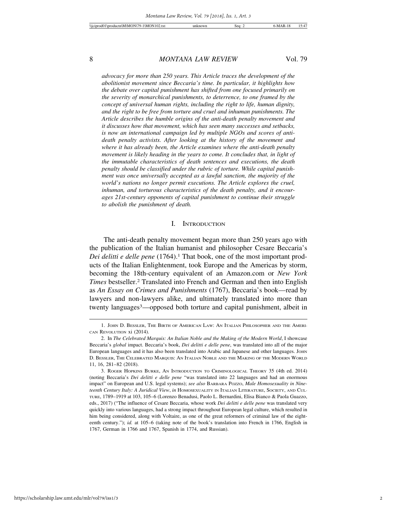*advocacy for more than 250 years. This Article traces the development of the abolitionist movement since Beccaria's time. In particular, it highlights how the debate over capital punishment has shifted from one focused primarily on the severity of monarchical punishments, to deterrence, to one framed by the concept of universal human rights, including the right to life, human dignity, and the right to be free from torture and cruel and inhuman punishments. The Article describes the humble origins of the anti-death penalty movement and it discusses how that movement, which has seen many successes and setbacks, is now an international campaign led by multiple NGOs and scores of antideath penalty activists. After looking at the history of the movement and where it has already been, the Article examines where the anti-death penalty movement is likely heading in the years to come. It concludes that, in light of the immutable characteristics of death sentences and executions, the death penalty should be classified under the rubric of torture. While capital punishment was once universally accepted as a lawful sanction, the majority of the world's nations no longer permit executions. The Article explores the cruel, inhuman, and torturous characteristics of the death penalty, and it encourages 21st-century opponents of capital punishment to continue their struggle to abolish the punishment of death.*

#### I. INTRODUCTION

The anti-death penalty movement began more than 250 years ago with the publication of the Italian humanist and philosopher Cesare Beccaria's *Dei delitti e delle pene* (1764).1 That book, one of the most important products of the Italian Enlightenment, took Europe and the Americas by storm, becoming the 18th-century equivalent of an Amazon.com or *New York Times* bestseller.2 Translated into French and German and then into English as *An Essay on Crimes and Punishments* (1767), Beccaria's book—read by lawyers and non-lawyers alike, and ultimately translated into more than twenty languages3—opposed both torture and capital punishment, albeit in

<sup>1.</sup> JOHN D. BESSLER, THE BIRTH OF AMERICAN LAW: AN ITALIAN PHILOSOPHER AND THE AMERI-CAN REVOLUTION xi (2014).

<sup>2.</sup> In *The Celebrated Marquis: An Italian Noble and the Making of the Modern World*, I showcase Beccaria's *global* impact. Beccaria's book, *Dei delitti e delle pene*, was translated into all of the major European languages and it has also been translated into Arabic and Japanese and other languages. JOHN D. BESSLER, THE CELEBRATED MARQUIS: AN ITALIAN NOBLE AND THE MAKING OF THE MODERN WORLD 11, 16, 281–82 (2018).

<sup>3.</sup> ROGER HOPKINS BURKE, AN INTRODUCTION TO CRIMINOLOGICAL THEORY 35 (4th ed. 2014) (noting Beccaria's *Dei delitti e delle pene* "was translated into 22 languages and had an enormous impact" on European and U.S. legal systems); *see also* BARBARA POZZO, *Male Homosexuality in Nineteenth Century Italy: A Juridical View*, *in* HOMOSEXUALITY IN ITALIAN LITERATURE, SOCIETY, AND CUL-TURE, 1789–1919 at 103, 105–6 (Lorenzo Benadusi, Paolo L. Bernardini, Elisa Bianco & Paola Guazzo, eds., 2017) ("The influence of Cesare Beccaria, whose work *Dei delitti e delle pene* was translated very quickly into various languages, had a strong impact throughout European legal culture, which resulted in him being considered, along with Voltaire, as one of the great reformers of criminal law of the eighteenth century."); *id.* at 105–6 (taking note of the book's translation into French in 1766, English in 1767, German in 1766 and 1767, Spanish in 1774, and Russian).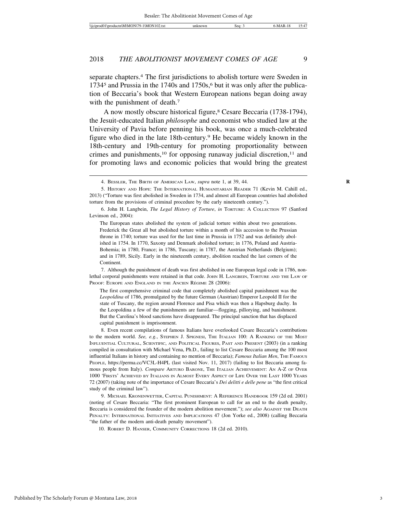separate chapters.4 The first jurisdictions to abolish torture were Sweden in 1734<sup>5</sup> and Prussia in the 1740s and 1750s,<sup>6</sup> but it was only after the publication of Beccaria's book that Western European nations began doing away with the punishment of death.<sup>7</sup>

A now mostly obscure historical figure,8 Cesare Beccaria (1738-1794), the Jesuit-educated Italian *philosophe* and economist who studied law at the University of Pavia before penning his book, was once a much-celebrated figure who died in the late 18th-century.9 He became widely known in the 18th-century and 19th-century for promoting proportionality between crimes and punishments,<sup>10</sup> for opposing runaway judicial discretion,<sup>11</sup> and for promoting laws and economic policies that would bring the greatest

7. Although the punishment of death was first abolished in one European legal code in 1786, nonlethal corporal punishments were retained in that code. JOHN H. LANGBEIN, TORTURE AND THE LAW OF PROOF: EUROPE AND ENGLAND IN THE ANCIEN RÉGIME 28 (2006):

The first comprehensive criminal code that completely abolished capital punishment was the *Leopoldina* of 1786, promulgated by the future German (Austrian) Emperor Leopold II for the state of Tuscany, the region around Florence and Pisa which was then a Hapsburg duchy. In the Leopoldina a few of the punishments are familiar—flogging, pillorying, and banishment. But the Carolina's blood sanctions have disappeared. The principal sanction that has displaced capital punishment is imprisonment.

8. Even recent compilations of famous Italians have overlooked Cesare Beccaria's contributions to the modern world. *See, e.g.*, STEPHEN J. SPIGNESI, THE ITALIAN 100: A RANKING OF THE MOST INFLUENTIAL CULTURAL, SCIENTIFIC, AND POLITICAL FIGURES, PAST AND PRESENT (2003) (in a ranking compiled in consultation with Michael Vena, Ph.D., failing to list Cesare Beccaria among the 100 most influential Italians in history and containing no mention of Beccaria); *Famous Italian Men*, THE FAMOUS PEOPLE, https://perma.cc/VC3L-H4PL (last visited Nov. 11, 2017) (failing to list Beccaria among famous people from Italy). *Compare* ARTURO BARONE, THE ITALIAN ACHIEVEMENT: AN A-Z OF OVER 1000 'FIRSTS' ACHIEVED BY ITALIANS IN ALMOST EVERY ASPECT OF LIFE OVER THE LAST 1000 YEARS 72 (2007) (taking note of the importance of Cesare Beccaria's *Dei delitti e delle pene* as "the first critical study of the criminal law").

9. MICHAEL KRONENWETTER, CAPITAL PUNISHMENT: A REFERENCE HANDBOOK 159 (2d ed. 2001) (noting of Cesare Beccaria: "The first prominent European to call for an end to the death penalty, Beccaria is considered the founder of the modern abolition movement."); *see also* AGAINST THE DEATH PENALTY: INTERNATIONAL INITIATIVES AND IMPLICATIONS 47 (Jon Yorke ed., 2008) (calling Beccaria "the father of the modern anti-death penalty movement").

10. ROBERT D. HANSER, COMMUNITY CORRECTIONS 18 (2d ed. 2010).

<sup>4.</sup> BESSLER, THE BIRTH OF AMERICAN LAW, *supra* note 1, at 39, 44. **R**

<sup>5.</sup> HISTORY AND HOPE: THE INTERNATIONAL HUMANITARIAN READER 71 (Kevin M. Cahill ed., 2013) ("Torture was first abolished in Sweden in 1734, and almost all European countries had abolished torture from the provisions of criminal procedure by the early nineteenth century.").

<sup>6.</sup> John H. Langbein, *The Legal History of Torture*, *in* TORTURE: A COLLECTION 97 (Sanford Levinson ed., 2004):

The European states abolished the system of judicial torture within about two generations. Frederick the Great all but abolished torture within a month of his accession to the Prussian throne in 1740; torture was used for the last time in Prussia in 1752 and was definitely abolished in 1754. In 1770, Saxony and Denmark abolished torture; in 1776, Poland and Austria-Bohemia; in 1780, France; in 1786, Tuscany; in 1787, the Austrian Netherlands (Belgium); and in 1789, Sicily. Early in the nineteenth century, abolition reached the last corners of the Continent.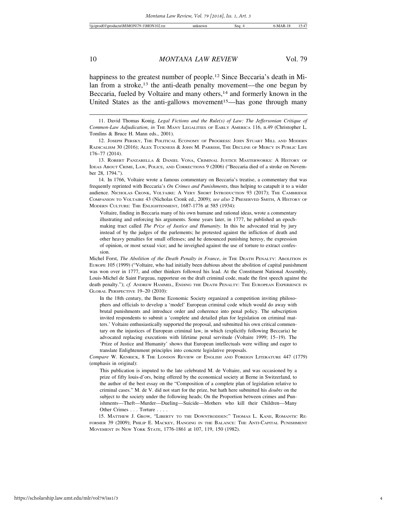happiness to the greatest number of people.<sup>12</sup> Since Beccaria's death in Milan from a stroke,<sup>13</sup> the anti-death penalty movement—the one begun by Beccaria, fueled by Voltaire and many others,<sup>14</sup> and formerly known in the United States as the anti-gallows movement<sup>15</sup>—has gone through many

14. In 1766, Voltaire wrote a famous commentary on Beccaria's treatise, a commentary that was frequently reprinted with Beccaria's *On Crimes and Punishments*, thus helping to catapult it to a wider audience. NICHOLAS CRONK, VOLTAIRE: A VERY SHORT INTRODUCTION 93 (2017); THE CAMBRIDGE COMPANION TO VOLTAIRE 43 (Nicholas Cronk ed., 2009); *see also* 2 PRESERVED SMITH, A HISTORY OF MODERN CULTURE: THE ENLIGHTENMENT, 1687-1776 at 585 (1934):

Voltaire, finding in Beccaria many of his own humane and rational ideas, wrote a commentary illustrating and enforcing his arguments. Some years later, in 1777, he published an epochmaking tract called *The Prize of Justice and Humanity*. In this he advocated trial by jury instead of by the judges of the parlements; he protested against the infliction of death and other heavy penalties for small offenses; and he denounced punishing heresy, the expression of opinion, or most sexual vice; and he inveighed against the use of torture to extract confession.

In the 18th century, the Berne Economic Society organized a competition inviting philosophers and officials to develop a 'model' European criminal code which would do away with brutal punishments and introduce order and coherence into penal policy. The subscription invited respondents to submit a 'complete and detailed plan for legislation on criminal matters.' Voltaire enthusiastically supported the proposal, and submitted his own critical commentary on the injustices of European criminal law, in which (explicitly following Beccaria) he advocated replacing executions with lifetime penal servitude (Voltaire 1999; 15–19). The 'Prize of Justice and Humanity' shows that European intellectuals were willing and eager to translate Enlightenment principles into concrete legislative proposals.

*Compare* W. KENRICK, 8 THE LONDON REVIEW OF ENGLISH AND FOREIGN LITERATURE 447 (1779) (emphasis in original):

This publication is imputed to the late celebrated M. de Voltaire, and was occasioned by a prize of fifty louis-d'ors, being offered by the economical society at Berne in Switzerland, to the author of the best essay on the "Composition of a complete plan of legislation relative to criminal cases." M. de V. did not start for the prize, but hath here submitted his *doubts* on the subject to the society under the following heads; On the Proportion between crimes and Punishments—Theft—Murder—Dueling—Suicide—Mothers who kill their Children—Many Other Crimes . . . Torture . . . .

15. MATTHEW J. GROW, "LIBERTY TO THE DOWNTRODDEN:" THOMAS L. KANE, ROMANTIC RE-FORMER 39 (2009); PHILIP E. MACKEY, HANGING IN THE BALANCE: THE ANTI-CAPITAL PUNISHMENT MOVEMENT IN NEW YORK STATE, 1776-1861 at 107, 119, 150 (1982).

<sup>11.</sup> David Thomas Konig, *Legal Fictions and the Rule(s) of Law: The Jeffersonian Critique of Common-Law Adjudication*, *in* THE MANY LEGALITIES OF EARLY AMERICA 116, n.49 (Christopher L. Tomlins & Bruce H. Mann eds., 2001).

<sup>12.</sup> JOSEPH PERSKY, THE POLITICAL ECONOMY OF PROGRESS: JOHN STUART MILL AND MODERN RADICALISM 30 (2016); ALEX TUCKNESS & JOHN M. PARRISH, THE DECLINE OF MERCY IN PUBLIC LIFE 176–77 (2014).

<sup>13.</sup> ROBERT PANZARELLA & DANIEL VONA, CRIMINAL JUSTICE MASTERWORKS: A HISTORY OF IDEAS ABOUT CRIME, LAW, POLICE, AND CORRECTIONS 9 (2006) ("Beccaria died of a stroke on November 28, 1794.").

Michel Forst, *The Abolition of the Death Penalty in France*, *in* THE DEATH PENALTY: ABOLITION IN EUROPE 105 (1999) ("Voltaire, who had initially been dubious about the abolition of capital punishment was won over in 1777, and other thinkers followed his lead. At the Constituent National Assembly, Louis-Michel de Saint Fargeau, rapporteur on the draft criminal code, made the first speech against the death penalty."); *cf.* ANDREW HAMMEL, ENDING THE DEATH PENALTY: THE EUROPEAN EXPERIENCE IN GLOBAL PERSPECTIVE 19–20 (2010):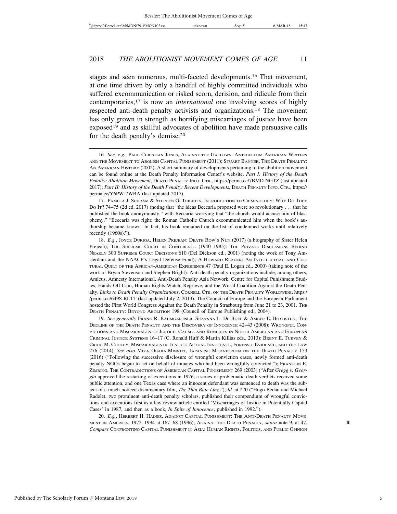stages and seen numerous, multi-faceted developments.16 That movement, at one time driven by only a handful of highly committed individuals who suffered excommunication or risked scorn, derision, and ridicule from their contemporaries,17 is now an *international* one involving scores of highly respected anti-death penalty activists and organizations.18 The movement has only grown in strength as horrifying miscarriages of justice have been exposed<sup>19</sup> and as skillful advocates of abolition have made persuasive calls for the death penalty's demise.20

19. *See generally* FRANK R. BAUMGARTNER, SUZANNA L. DE BOEF & AMBER E. BOYDSTUN, THE DECLINE OF THE DEATH PENALTY AND THE DISCOVERY OF INNOCENCE 42–43 (2008); WRONGFUL CON-VICTIONS AND MISCARRIAGES OF JUSTICE: CAUSES AND REMEDIES IN NORTH AMERICAN AND EUROPEAN CRIMINAL JUSTICE SYSTEMS 16–17 (C. Ronald Huff & Martin Killias eds., 2013); BRENT E. TURVEY & CRAIG M. COOLEY, MISCARRIAGES OF JUSTICE: ACTUAL INNOCENCE, FORENSIC EVIDENCE, AND THE LAW 276 (2014). *See also* MIKA OBARA-MINNITT, JAPANESE MORATORIUM ON THE DEATH PENALTY 153 (2016) ("Following the successive disclosure of wrongful conviction cases, newly formed anti-death penalty NGOs began to act on behalf of inmates who had been wrongfully convicted."); FRANKLIN E. ZIMRING, THE CONTRADICTIONS OF AMERICAN CAPITAL PUNISHMENT 269 (2003) ("After *Gregg v. Georgia* approved the restarting of executions in 1976, a series of problematic death verdicts received some public attention, and one Texas case where an innocent defendant was sentenced to death was the subject of a much-noticed documentary film, *The Thin Blue Line*."); *Id.* at 270 ("Hugo Bedau and Michael Radelet, two prominent anti-death penalty scholars, published their compendium of wrongful convictions and executions first as a law review article entitled 'Miscarriages of Justice in Potentially Capital Cases' in 1987, and then as a book, *In Spite of Innocence*, published in 1992.").

20. *E.g.*, HERBERT H. HAINES, AGAINST CAPITAL PUNISHMENT: THE ANTI-DEATH PENALTY MOVE-MENT IN AMERICA, 1972–1994 at 167–68 (1996); AGAINST THE DEATH PENALTY, *supra* note 9, at 47. **R** *Compare* CONFRONTING CAPITAL PUNISHMENT IN ASIA: HUMAN RIGHTS, POLITICS, AND PUBLIC OPINION

<sup>16.</sup> *See, e.g.*, PAUL CHRISTIAN JONES, AGAINST THE GALLOWS: ANTEBELLUM AMERICAN WRITERS AND THE MOVEMENT TO ABOLISH CAPITAL PUNISHMENT (2011); STUART BANNER, THE DEATH PENALTY: AN AMERICAN HISTORY (2002). A short summary of developments pertaining to the abolition movement can be found online at the Death Penalty Information Center's website. *Part I: History of the Death Penalty: Abolition Movement*, DEATH PENALTY INFO. CTR., https://perma.cc/7BMD-NGTZ (last updated 2017); *Part II: History of the Death Penalty: Recent Developments*, DEATH PENALTY INFO. CTR., https:// perma.cc/Y6PW-7WBA (last updated 2017).

<sup>17.</sup> PAMELA J. SCHRAM & STEPHEN G. TIBBETTS, INTRODUCTION TO CRIMINOLOGY: WHY DO THEY DO IT? 74–75 (2d ed. 2017) (noting that "the ideas Beccaria proposed were so revolutionary . . . that he published the book anonymously," with Beccaria worrying that "the church would accuse him of blasphemy." "Beccaria was right; the Roman Catholic Church excommunicated him when the book's authorship became known. In fact, his book remained on the list of condemned works until relatively recently (1960s).").

<sup>18.</sup> E.g., JOYCE DURIGA, HELEN PREJEAN: DEATH ROW'S NUN (2017) (a biography of Sister Helen Prejean); THE SUPREME COURT IN CONFERENCE (1940–1985): THE PRIVATE DISCUSSIONS BEHIND NEARLY 300 SUPREME COURT DECISIONS 610 (Del Dickson ed., 2001) (noting the work of Tony Amsterdam and the NAACP's Legal Defense Fund); A HOWARD READER: AN INTELLECTUAL AND CUL-TURAL QUILT OF THE AFRICAN-AMERICAN EXPERIENCE 47 (Paul E. Logan ed., 2000) (taking note of the work of Bryan Stevenson and Stephen Bright). Anti-death penalty organizations include, among others, Amicus, Amnesty International, Anti-Death Penalty Asia Network, Centre for Capital Punishment Studies, Hands Off Cain, Human Rights Watch, Reprieve, and the World Coalition Against the Death Penalty. *Links to Death Penalty Organizations*, CORNELL CTR. ON THE DEATH PENALTY WORLDWIDE, https:/ /perma.cc/649S-RLTT (last updated July 2, 2013). The Council of Europe and the European Parliament hosted the First World Congress Against the Death Penalty in Strasbourg from June 21 to 23, 2001. The DEATH PENALTY: BEYOND ABOLITION 198 (Council of Europe Publishing ed., 2004).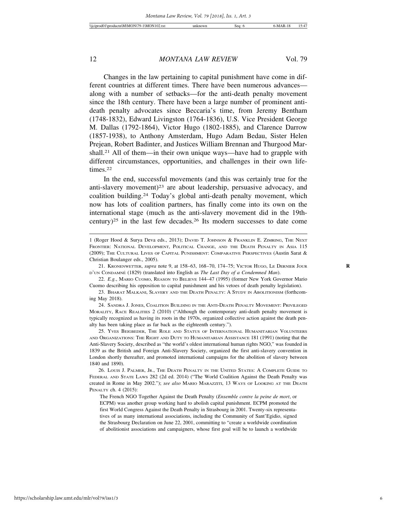Changes in the law pertaining to capital punishment have come in different countries at different times. There have been numerous advances along with a number of setbacks—for the anti-death penalty movement since the 18th century. There have been a large number of prominent antideath penalty advocates since Beccaria's time, from Jeremy Bentham (1748-1832), Edward Livingston (1764-1836), U.S. Vice President George M. Dallas (1792-1864), Victor Hugo (1802-1885), and Clarence Darrow (1857-1938), to Anthony Amsterdam, Hugo Adam Bedau, Sister Helen Prejean, Robert Badinter, and Justices William Brennan and Thurgood Marshall.21 All of them—in their own unique ways—have had to grapple with different circumstances, opportunities, and challenges in their own lifetimes.22

In the end, successful movements (and this was certainly true for the anti-slavery movement)<sup>23</sup> are about leadership, persuasive advocacy, and coalition building.24 Today's global anti-death penalty movement, which now has lots of coalition partners, has finally come into its own on the international stage (much as the anti-slavery movement did in the 19thcentury)<sup>25</sup> in the last few decades.<sup>26</sup> Its modern successes to date come

<sup>1 (</sup>Roger Hood & Surya Deva eds., 2013); DAVID T. JOHNSON & FRANKLIN E. ZIMRING, THE NEXT FRONTIER: NATIONAL DEVELOPMENT, POLITICAL CHANGE, AND THE DEATH PENALTY IN ASIA 115 (2009); THE CULTURAL LIVES OF CAPITAL PUNISHMENT: COMPARATIVE PERSPECTIVES (Austin Sarat & Christian Boulanger eds., 2005).

<sup>21.</sup> KRONENWETTER, *supra* note 9, at 158–63, 168–70, 174–75; VICTOR HUGO, LE DERNIER JOUR **R** D'UN CONDAMNÉ (1829) (translated into English as *The Last Day of a Condemned Man*).

<sup>22.</sup> *E.g.*, MARIO CUOMO, REASON TO BELIEVE 144–47 (1995) (former New York Governor Mario Cuomo describing his opposition to capital punishment and his vetoes of death penalty legislation).

<sup>23.</sup> BHARAT MALKANI, SLAVERY AND THE DEATH PENALTY: A STUDY IN ABOLITIONISM (forthcoming May 2018).

<sup>24.</sup> SANDRA J. JONES, COALITION BUILDING IN THE ANTI-DEATH PENALTY MOVEMENT: PRIVILEGED MORALITY, RACE REALITIES 2 (2010) ("Although the contemporary anti-death penalty movement is typically recognized as having its roots in the 1970s, organized collective action against the death penalty has been taking place as far back as the eighteenth century.").

<sup>25.</sup> YVES BEIGBEDER, THE ROLE AND STATUS OF INTERNATIONAL HUMANITARIAN VOLUNTEERS AND ORGANIZATIONS: THE RIGHT AND DUTY TO HUMANITARIAN ASSISTANCE 181 (1991) (noting that the Anti-Slavery Society, described as "the world's oldest international human rights NGO," was founded in 1839 as the British and Foreign Anti-Slavery Society, organized the first anti-slavery convention in London shortly thereafter, and promoted international campaigns for the abolition of slavery between 1840 and 1890).

<sup>26.</sup> LOUIS J. PALMER, JR., THE DEATH PENALTY IN THE UNITED STATES: A COMPLETE GUIDE TO FEDERAL AND STATE LAWS 282 (2d ed. 2014) ("The World Coalition Against the Death Penalty was created in Rome in May 2002."); *see also* MARIO MARAZZITI, 13 WAYS OF LOOKING AT THE DEATH PENALTY ch. 4 (2015):

The French NGO Together Against the Death Penalty (*Ensemble contre la peine de mort*, or ECPM) was another group working hard to abolish capital punishment. ECPM promoted the first World Congress Against the Death Penalty in Strasbourg in 2001. Twenty-six representatives of as many international associations, including the Community of Sant'Egidio, signed the Strasbourg Declaration on June 22, 2001, committing to "create a worldwide coordination of abolitionist associations and campaigners, whose first goal will be to launch a worldwide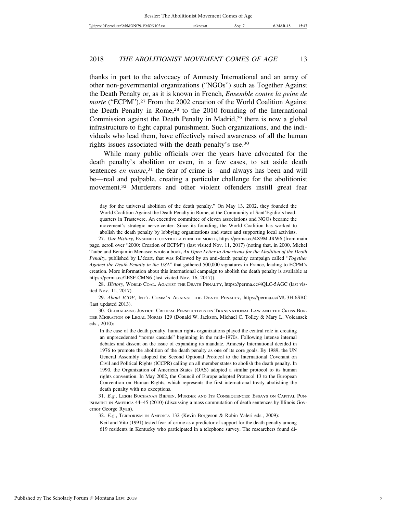thanks in part to the advocacy of Amnesty International and an array of other non-governmental organizations ("NGOs") such as Together Against the Death Penalty or, as it is known in French, *Ensemble contre la peine de morte* ("ECPM").<sup>27</sup> From the 2002 creation of the World Coalition Against the Death Penalty in Rome,<sup>28</sup> to the 2010 founding of the International Commission against the Death Penalty in Madrid,<sup>29</sup> there is now a global infrastructure to fight capital punishment. Such organizations, and the individuals who lead them, have effectively raised awareness of all the human rights issues associated with the death penalty's use.30

While many public officials over the years have advocated for the death penalty's abolition or even, in a few cases, to set aside death sentences *en masse*, 31 the fear of crime is—and always has been and will be—real and palpable, creating a particular challenge for the abolitionist movement.32 Murderers and other violent offenders instill great fear

28. *History*, WORLD COAL. AGAINST THE DEATH PENALTY, https://perma.cc/4QLC-5AGC (last visited Nov. 11, 2017).

29. *About ICDP*, INT'L COMM'N AGAINST THE DEATH PENALTY, https://perma.cc/MU3H-6SBC (last updated 2013).

30. GLOBALIZING JUSTICE: CRITICAL PERSPECTIVES ON TRANSNATIONAL LAW AND THE CROSS-BOR-DER MIGRATION OF LEGAL NORMS 129 (Donald W. Jackson, Michael C. Tolley & Mary L. Volcansek eds., 2010):

In the case of the death penalty, human rights organizations played the central role in creating an unprecedented "norms cascade" beginning in the mid–1970s. Following intense internal debates and dissent on the issue of expanding its mandate, Amnesty International decided in 1976 to promote the abolition of the death penalty as one of its core goals. By 1989, the UN General Assembly adopted the Second Optional Protocol to the International Covenant on Civil and Political Rights (ICCPR) calling on all member states to abolish the death penalty. In 1990, the Organization of American States (OAS) adopted a similar protocol to its human rights convention. In May 2002, the Council of Europe adopted Protocol 13 to the European Convention on Human Rights, which represents the first international treaty abolishing the death penalty with no exceptions.

31. *E.g.*, LEIGH BUCHANAN BIENEN, MURDER AND ITS CONSEQUENCES: ESSAYS ON CAPITAL PUN-ISHMENT IN AMERICA 44–45 (2010) (discussing a mass commutation of death sentences by Illinois Governor George Ryan).

32. *E.g.*, TERRORISM IN AMERICA 132 (Kevin Borgeson & Robin Valeri eds., 2009):

Keil and Vito (1991) tested fear of crime as a predictor of support for the death penalty among 619 residents in Kentucky who participated in a telephone survey. The researchers found di-

day for the universal abolition of the death penalty." On May 13, 2002, they founded the World Coalition Against the Death Penalty in Rome, at the Community of Sant'Egidio's headquarters in Trastevere. An executive committee of eleven associations and NGOs became the movement's strategic nerve-center. Since its founding, the World Coalition has worked to abolish the death penalty by lobbying organizations and states and supporting local activists.

<sup>27.</sup> *Our History*, ENSEMBLE CONTRE LA PEINE DE MORTE, https://perma.cc/4X9M-JRW6 (from main page, scroll over "2000: Creation of ECPM") (last visited Nov. 11, 2017) (noting that, in 2000, Michel Taube and Benjamin Menasce wrote a book, *An Open Letter to Americans for the Abolition of the Death Penalty*, published by L'écart, that was followed by an anti-death penalty campaign called "*Together Against the Death Penalty in the USA*" that gathered 500,000 signatures in France, leading to ECPM's creation. More information about this international campaign to abolish the death penalty is available at https://perma.cc/2ESF-CMN6 (last visited Nov. 16, 2017)).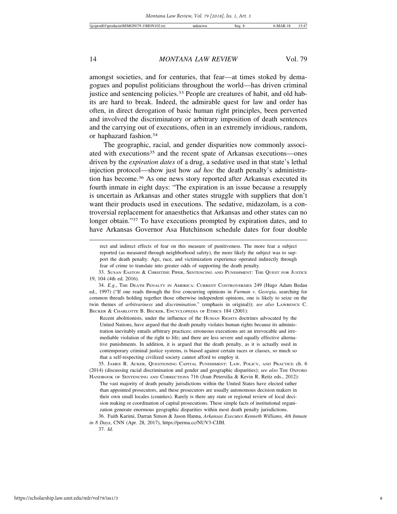amongst societies, and for centuries, that fear—at times stoked by demagogues and populist politicians throughout the world—has driven criminal justice and sentencing policies.<sup>33</sup> People are creatures of habit, and old habits are hard to break. Indeed, the admirable quest for law and order has often, in direct derogation of basic human right principles, been perverted and involved the discriminatory or arbitrary imposition of death sentences and the carrying out of executions, often in an extremely invidious, random, or haphazard fashion.34

The geographic, racial, and gender disparities now commonly associated with executions<sup>35</sup> and the recent spate of Arkansas executions—ones driven by the *expiration dates* of a drug, a sedative used in that state's lethal injection protocol—show just how *ad hoc* the death penalty's administration has become.36 As one news story reported after Arkansas executed its fourth inmate in eight days: "The expiration is an issue because a resupply is uncertain as Arkansas and other states struggle with suppliers that don't want their products used in executions. The sedative, midazolam, is a controversial replacement for anaesthetics that Arkansas and other states can no longer obtain."37 To have executions prompted by expiration dates, and to have Arkansas Governor Asa Hutchinson schedule dates for four double

Recent abolitionists, under the influence of the HUMAN RIGHTS doctrines advocated by the United Nations, have argued that the death penalty violates human rights because its administration inevitably entails arbitrary practices; erroneous executions are an irrevocable and irremediable violation of the right to life; and there are less severe and equally effective alternative punishments. In addition, it is argued that the death penalty, as it is actually used in contemporary criminal justice systems, is biased against certain races or classes, so much so that a self-respecting civilized society cannot afford to employ it.

35. JAMES R. ACKER, QUESTIONING CAPITAL PUNISHMENT: LAW, POLICY, AND PRACTICE ch. 6 (2014) (discussing racial discrimination and gender and geographic disparities); *see also* THE OXFORD HANDBOOK OF SENTENCING AND CORRECTIONS 716 (Joan Petersilia & Kevin R. Reitz eds., 2012):

The vast majority of death penalty jurisdictions within the United States have elected rather than appointed prosecutors, and these prosecutors are usually autonomous decision makers in their own small locales (counties). Rarely is there any state or regional review of local decision making or coordination of capital prosecutions. These simple facts of institutional organization generate enormous geographic disparities within most death penalty jurisdictions. 36. Faith Karimi, Darran Simon & Jason Hanna, *Arkansas Executes Kenneth Williams, 4th Inmate*

*in 8 Days*, CNN (Apr. 28, 2017), https://perma.cc/NUV3-CJJH. 37. *Id.*

rect and indirect effects of fear on this measure of punitiveness. The more fear a subject reported (as measured through neighborhood safety), the more likely the subject was to support the death penalty. Age, race, and victimization experience operated indirectly through fear of crime to translate into greater odds of supporting the death penalty.

<sup>33.</sup> SUSAN EASTON & CHRISTINE PIPER, SENTENCING AND PUNISHMENT: THE QUEST FOR JUSTICE 19, 104 (4th ed. 2016).

<sup>34.</sup> *E.g.*, THE DEATH PENALTY IN AMERICA: CURRENT CONTROVERSIES 249 (Hugo Adam Bedau ed., 1997) ("If one reads through the five concurring opinions in *Furman v. Georgia*, searching for common threads holding together those otherwise independent opinions, one is likely to seize on the twin themes of *arbitrariness* and *discrimination*." (emphasis in original)); *see also* LAWRENCE C. BECKER & CHARLOTTE B. BECKER, ENCYCLOPEDIA OF ETHICS 184 (2001):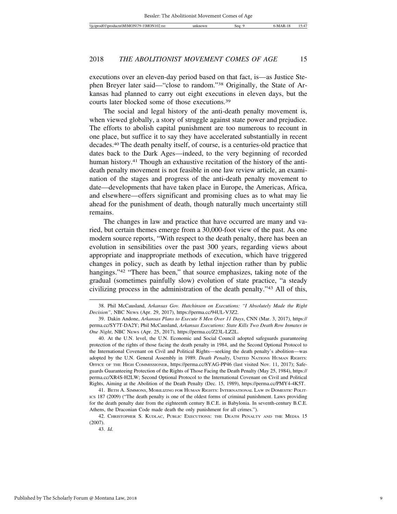executions over an eleven-day period based on that fact, is—as Justice Stephen Breyer later said—"close to random."38 Originally, the State of Arkansas had planned to carry out eight executions in eleven days, but the courts later blocked some of those executions.39

The social and legal history of the anti-death penalty movement is, when viewed globally, a story of struggle against state power and prejudice. The efforts to abolish capital punishment are too numerous to recount in one place, but suffice it to say they have accelerated substantially in recent decades.40 The death penalty itself, of course, is a centuries-old practice that dates back to the Dark Ages—indeed, to the very beginning of recorded human history.<sup>41</sup> Though an exhaustive recitation of the history of the antideath penalty movement is not feasible in one law review article, an examination of the stages and progress of the anti-death penalty movement to date—developments that have taken place in Europe, the Americas, Africa, and elsewhere—offers significant and promising clues as to what may lie ahead for the punishment of death, though naturally much uncertainty still remains.

The changes in law and practice that have occurred are many and varied, but certain themes emerge from a 30,000-foot view of the past. As one modern source reports, "With respect to the death penalty, there has been an evolution in sensibilities over the past 300 years, regarding views about appropriate and inappropriate methods of execution, which have triggered changes in policy, such as death by lethal injection rather than by public hangings."<sup>42</sup> "There has been," that source emphasizes, taking note of the gradual (sometimes painfully slow) evolution of state practice, "a steady civilizing process in the administration of the death penalty."43 All of this,

<sup>38.</sup> Phil McCausland, *Arkansas Gov. Hutchinson on Executions: "I Absolutely Made the Right Decision"*, NBC NEWS (Apr. 29, 2017), https://perma.cc/94UL-V3Z2.

<sup>39.</sup> Dakin Andone, *Arkansas Plans to Execute 8 Men Over 11 Days*, CNN (Mar. 3, 2017), https:// perma.cc/SY7T-DA2Y; Phil McCausland, *Arkansas Executions: State Kills Two Death Row Inmates in One Night*, NBC NEWS (Apr. 25, 2017), https://perma.cc/Z23L-LZ2L.

<sup>40.</sup> At the U.N. level, the U.N. Economic and Social Council adopted safeguards guaranteeing protection of the rights of those facing the death penalty in 1984, and the Second Optional Protocol to the International Covenant on Civil and Political Rights—seeking the death penalty's abolition—was adopted by the U.N. General Assembly in 1989. *Death Penalty*, UNITED NATIONS HUMAN RIGHTS: OFFICE OF THE HIGH COMMISSIONER, https://perma.cc/8YAG-PP46 (last visited Nov. 11, 2017); Safeguards Guaranteeing Protection of the Rights of Those Facing the Death Penalty (May 25, 1984), https:// perma.cc/XR4S-H2LW; Second Optional Protocol to the International Covenant on Civil and Political Rights, Aiming at the Abolition of the Death Penalty (Dec. 15, 1989), https://perma.cc/PMY4-4K5T.

<sup>41.</sup> BETH A. SIMMONS, MOBILIZING FOR HUMAN RIGHTS: INTERNATIONAL LAW IN DOMESTIC POLIT-ICS 187 (2009) ("The death penalty is one of the oldest forms of criminal punishment. Laws providing for the death penalty date from the eighteenth century B.C.E. in Babylonia. In seventh-century B.C.E. Athens, the Draconian Code made death the only punishment for all crimes.").

<sup>42.</sup> CHRISTOPHER S. KUDLAC, PUBLIC EXECUTIONS: THE DEATH PENALTY AND THE MEDIA 15 (2007).

<sup>43.</sup> *Id.*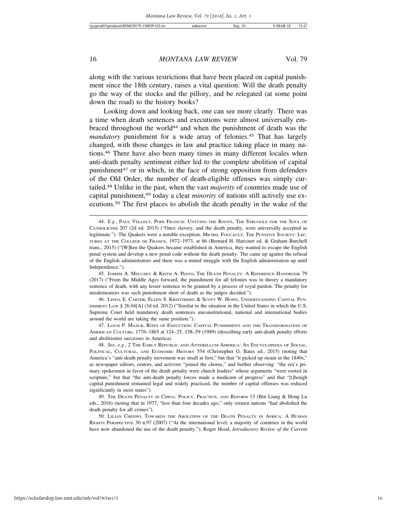along with the various restrictions that have been placed on capital punishment since the 18th century, raises a vital question: Will the death penalty go the way of the stocks and the pillory, and be relegated (at some point down the road) to the history books?

Looking down and looking back, one can see more clearly. There was a time when death sentences and executions were almost universally embraced throughout the world44 and when the punishment of death was the *mandatory* punishment for a wide array of felonies.<sup>45</sup> That has largely changed, with those changes in law and practice taking place in many nations.46 There have also been many times in many different locales when anti-death penalty sentiment either led to the complete abolition of capital punishment47 or in which, in the face of strong opposition from defenders of the Old Order, the number of death-eligible offenses was simply curtailed.48 Unlike in the past, when the vast *majority* of countries made use of capital punishment,49 today a clear *minority* of nations still actively use executions.50 The first places to abolish the death penalty in the wake of the

46. LINDA E. CARTER, ELLEN S. KREITZBERG & SCOTT W. HOWE, UNDERSTANDING CAPITAL PUN-ISHMENT LAW § 26.04[A] (3d ed. 2012) ("Similar to the situation in the United States in which the U.S. Supreme Court held mandatory death sentences unconstitutional, national and international bodies around the world are taking the same position.").

47. LOUIS P. MASUR, RITES OF EXECUTION: CAPITAL PUNISHMENT AND THE TRANSFORMATION OF AMERICAN CULTURE, 1776–1865 at 124–25, 158–59 (1989) (describing early anti-death penalty efforts and abolitionist successes in America).

<sup>44.</sup> *E.g.*, PAUL VELLELY, POPE FRANCIS: UNTYING THE KNOTS, THE STRUGGLE FOR THE SOUL OF CATHOLICISM 207 (2d ed. 2015) ("Once slavery, and the death penalty, were universally accepted as legitimate."). The Quakers were a notable exception. MICHEL FOUCAULT, THE PUNITIVE SOCIETY: LEC-TURES AT THE COLLÈGE DE FRANCE, 1972–1973, at 86 (Bernard H. Harcourt ed. & Graham Burchell trans., 2015) ("[W]hen the Quakers became established in America, they wanted to escape the English penal system and develop a new penal code without the death penalty. The came up against the refusal of the English administrators and there was a muted struggle with the English administration up until Independence.").

<sup>45.</sup> JOSEPH A. MELUSKY & KEITH A. PESTO, THE DEATH PENALTY: A REFERENCE HANDBOOK 79 (2017) ("From the Middle Ages forward, the punishment for all felonies was in theory a mandatory sentence of death, with any lesser sentence to be granted by a process of royal pardon. The penalty for misdemeanors was such punishment short of death as the judges decided.").

<sup>48.</sup> *See, e.g.*, 2 THE EARLY REPUBLIC AND ANTEBELLUM AMERICA: AN ENCYCLOPEDIA OF SOCIAL, POLITICAL, CULTURAL, AND ECONOMIC HISTORY 554 (Christopher G. Bates ed., 2015) (noting that America's "anti-death penalty movement was small at first," but that "it picked up steam in the 1840s," as newspaper editors, orators, and activists "joined the chorus," and further observing: "the era's primary spokesmen in favor of the death penalty were church leaders" whose arguments "were rooted in scripture," but that "the anti-death penalty forces made a modicum of progress" and that "[t]hough capital punishment remained legal and widely practiced, the number of capital offenses was reduced significantly in most states").

<sup>49.</sup> THE DEATH PENALTY IN CHINA: POLICY, PRACTICE, AND REFORM 13 (Bin Liang & Hong Lu eds., 2016) (noting that in 1977, "less than four decades ago," only sixteen nations "had abolished the death penalty for all crimes").

<sup>50.</sup> LILIAN CHENWI, TOWARDS THE ABOLITION OF THE DEATH PENALTY IN AFRICA: A HUMAN RIGHTS PERSPECTIVE 30 n.97 (2007) ("At the international level, a majority of countries in the world have now abandoned the use of the death penalty."); Roger Hood, *Introductory Review of the Current*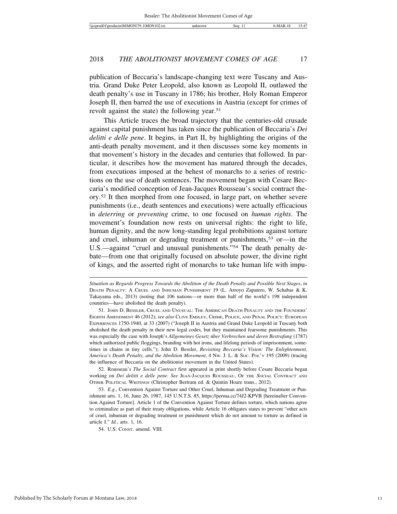publication of Beccaria's landscape-changing text were Tuscany and Austria. Grand Duke Peter Leopold, also known as Leopold II, outlawed the death penalty's use in Tuscany in 1786; his brother, Holy Roman Emperor Joseph II, then barred the use of executions in Austria (except for crimes of revolt against the state) the following year.51

This Article traces the broad trajectory that the centuries-old crusade against capital punishment has taken since the publication of Beccaria's *Dei delitti e delle pene*. It begins, in Part II, by highlighting the origins of the anti-death penalty movement, and it then discusses some key moments in that movement's history in the decades and centuries that followed. In particular, it describes how the movement has matured through the decades, from executions imposed at the behest of monarchs to a series of restrictions on the use of death sentences. The movement began with Cesare Beccaria's modified conception of Jean-Jacques Rousseau's social contract theory.52 It then morphed from one focused, in large part, on whether severe punishments (i.e., death sentences and executions) were actually efficacious in *deterring* or *preventing* crime, to one focused on *human rights*. The movement's foundation now rests on universal rights: the right to life, human dignity, and the now long-standing legal prohibitions against torture and cruel, inhuman or degrading treatment or punishments,<sup>53</sup> or—in the U.S.—against "cruel and unusual punishments."54 The death penalty debate—from one that originally focused on absolute power, the divine right of kings, and the asserted right of monarchs to take human life with impu-

*Situation as Regards Progress Towards the Abolition of the Death Penalty and Possible Next Stages*, *in* DEATH PENALTY: A CRUEL AND INHUMAN PUNISHMENT 19 (L. Arroyo Zapatero, W. Schabas & K. Takayama eds., 2013) (noting that 106 nations—or more than half of the world's 198 independent countries—have abolished the death penalty).

<sup>51.</sup> JOHN D. BESSLER, CRUEL AND UNUSUAL: THE AMERICAN DEATH PENALTY AND THE FOUNDERS' EIGHTH AMENDMENT 46 (2012); *see also* CLIVE EMSLEY, CRIME, POLICE, AND PENAL POLICY: EUROPEAN EXPERIENCES 1750-1940, at 33 (2007) ("Joseph II in Austria and Grand Duke Leopold in Tuscany both abolished the death penalty in their new legal codes, but they maintained fearsome punishments. This was especially the case with Joseph's *Allgemeines Gesetz über Verbrechen und deren Bestrafung* (1787) which authorized public floggings, branding with hot irons, and lifelong periods of imprisonment, sometimes in chains in tiny cells."); John D. Bessler, *Revisiting Beccaria's Vision: The Enlightenment, America's Death Penalty, and the Abolition Movement*, 4 NW. J. L. & SOC. POL'Y 195 (2009) (tracing the influence of Beccaria on the abolitionist movement in the United States).

<sup>52.</sup> Rousseau's *The Social Contract* first appeared in print shortly before Cesare Beccaria began working on *Dei delitti e delle pene*. *See* JEAN-JACQUES ROUSSEAU, OF THE <sup>S</sup>OCIAL CONTRACT AND OTHER POLITICAL WRITINGS (Christopher Bertram ed. & Quintin Hoare trans., 2012).

<sup>53.</sup> *E.g.*, Convention Against Torture and Other Cruel, Inhuman and Degrading Treatment or Punishment arts. 1, 16, June 26, 1987, 145 U.N.T.S. 85, https://perma.cc/74J2-KPVB [hereinafter Convention Against Torture]. Article 1 of the Convention Against Torture defines torture, which nations agree to criminalize as part of their treaty obligations, while Article 16 obligates states to prevent "other acts of cruel, inhuman or degrading treatment or punishment which do not amount to torture as defined in article I." *Id.*, arts. 1, 16.

<sup>54.</sup> U.S. CONST. amend. VIII.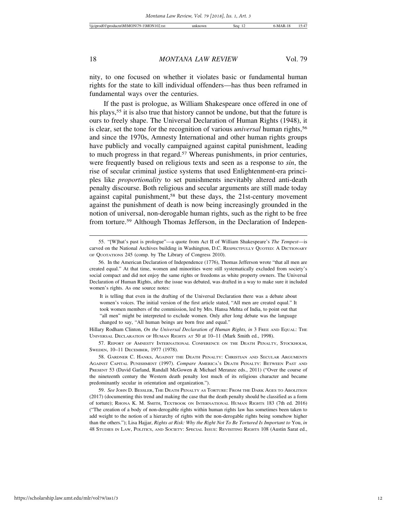nity, to one focused on whether it violates basic or fundamental human rights for the state to kill individual offenders—has thus been reframed in fundamental ways over the centuries.

If the past is prologue, as William Shakespeare once offered in one of his plays,<sup>55</sup> it is also true that history cannot be undone, but that the future is ours to freely shape. The Universal Declaration of Human Rights (1948), it is clear, set the tone for the recognition of various *universal* human rights,<sup>56</sup> and since the 1970s, Amnesty International and other human rights groups have publicly and vocally campaigned against capital punishment, leading to much progress in that regard.57 Whereas punishments, in prior centuries, were frequently based on religious texts and seen as a response to *sin*, the rise of secular criminal justice systems that used Enlightenment-era principles like *proportionality* to set punishments inevitably altered anti-death penalty discourse. Both religious and secular arguments are still made today against capital punishment,58 but these days, the 21st-century movement against the punishment of death is now being increasingly grounded in the notion of universal, non-derogable human rights, such as the right to be free from torture.59 Although Thomas Jefferson, in the Declaration of Indepen-

It is telling that even in the drafting of the Universal Declaration there was a debate about women's voices. The initial version of the first article stated, "All men are created equal." It took women members of the commission, led by Mrs. Hansa Mehta of India, to point out that "all men" might be interpreted to exclude women. Only after long debate was the language changed to say, "All human beings are born free and equal."

Hillary Rodham Clinton, *On the Universal Declaration of Human Rights, in* 3 FREE AND EQUAL: THE UNIVERSAL DECLARATION OF HUMAN RIGHTS AT 50 at 10–11 (Mark Smith ed., 1998).

57. REPORT OF AMNESTY INTERNATIONAL CONFERENCE ON THE DEATH PENALTY, STOCKHOLM, SWEDEN, 10–11 DECEMBER, 1977 (1978).

59. *See* JOHN D. BESSLER, THE DEATH PENALTY AS TORTURE: FROM THE DARK AGES TO ABOLITION (2017) (documenting this trend and making the case that the death penalty should be classified as a form of torture); RHONA K. M. SMITH, TEXTBOOK ON INTERNATIONAL HUMAN RIGHTS 183 (7th ed. 2016) ("The creation of a body of non-derogable rights within human rights law has sometimes been taken to add weight to the notion of a hierarchy of rights with the non-derogable rights being somehow higher than the others."); Lisa Hajjar, *Rights at Risk: Why the Right Not To Be Tortured Is Important to* You, *in* 48 STUDIES IN LAW, POLITICS, AND SOCIETY: SPECIAL ISSUE: REVISITING RIGHTS 108 (Austin Sarat ed.,

<sup>55. &</sup>quot;[W]hat's past is prologue"—a quote from Act II of William Shakespeare's *The Tempest*—is carved on the National Archives building in Washington, D.C. RESPECTFULLY QUOTED: A DICTIONARY OF QUOTATIONS 245 (comp. by The Library of Congress 2010).

<sup>56.</sup> In the American Declaration of Independence (1776), Thomas Jefferson wrote "that all men are created equal." At that time, women and minorities were still systematically excluded from society's social compact and did not enjoy the same rights or freedoms as white property owners. The Universal Declaration of Human Rights, after the issue was debated, was drafted in a way to make sure it included women's rights. As one source notes:

<sup>58.</sup> GARDNER C. HANKS, AGAINST THE DEATH PENALTY: CHRISTIAN AND SECULAR ARGUMENTS AGAINST CAPITAL PUNISHMENT (1997). *Compare* AMERICA'S DEATH PENALTY: BETWEEN PAST AND PRESENT 53 (David Garland, Randall McGowen & Michael Meranze eds., 2011) ("Over the course of the nineteenth century the Western death penalty lost much of its religious character and became predominantly secular in orientation and organization.").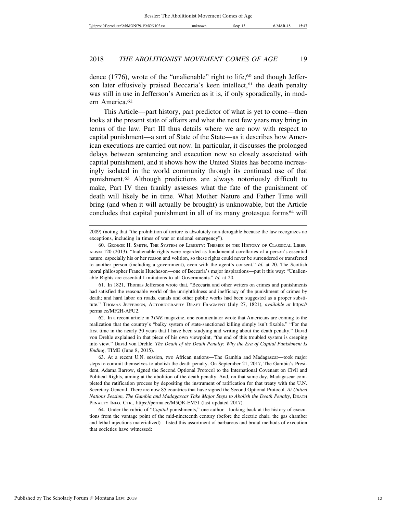dence (1776), wrote of the "unalienable" right to life,<sup>60</sup> and though Jefferson later effusively praised Beccaria's keen intellect,<sup>61</sup> the death penalty was still in use in Jefferson's America as it is, if only sporadically, in modern America.62

This Article—part history, part predictor of what is yet to come—then looks at the present state of affairs and what the next few years may bring in terms of the law. Part III thus details where we are now with respect to capital punishment—a sort of State of the State—as it describes how American executions are carried out now. In particular, it discusses the prolonged delays between sentencing and execution now so closely associated with capital punishment, and it shows how the United States has become increasingly isolated in the world community through its continued use of that punishment.63 Although predictions are always notoriously difficult to make, Part IV then frankly assesses what the fate of the punishment of death will likely be in time. What Mother Nature and Father Time will bring (and when it will actually be brought) is unknowable, but the Article concludes that capital punishment in all of its many grotesque forms<sup>64</sup> will

61. In 1821, Thomas Jefferson wrote that, "Beccaria and other writers on crimes and punishments had satisfied the reasonable world of the unrightfulness and inefficacy of the punishment of crimes by death; and hard labor on roads, canals and other public works had been suggested as a proper substitute." THOMAS JEFFERSON, AUTOBIOGRAPHY DRAFT FRAGMENT (July 27, 1821), *available at* https:// perma.cc/MF2H-AFU2.

62. In a recent article in *TIME* magazine, one commentator wrote that Americans are coming to the realization that the country's "balky system of state-sanctioned killing simply isn't fixable." "For the first time in the nearly 30 years that I have been studying and writing about the death penalty," David von Drehle explained in that piece of his own viewpoint, "the end of this troubled system is creeping into view." David von Drehle, *The Death of the Death Penalty: Why the Era of Capital Punishment Is Ending*, TIME (June 8, 2015).

<sup>2009) (</sup>noting that "the prohibition of torture is absolutely non-derogable because the law recognizes no exceptions, including in times of war or national emergency").

<sup>60.</sup> GEORGE H. SMITH, THE SYSTEM OF LIBERTY: THEMES IN THE HISTORY OF CLASSICAL LIBER-ALISM 120 (2013). "Inalienable rights were regarded as fundamental corollaries of a person's essential nature, especially his or her reason and volition, so these rights could never be surrendered or transferred to another person (including a government), even with the agent's consent." *Id.* at 20. The Scottish moral philosopher Francis Hutcheson—one of Beccaria's major inspirations—put it this way: "Unalienable Rights are essential Limitations to all Governments." *Id.* at 20.

<sup>63.</sup> At a recent U.N. session, two African nations—The Gambia and Madagascar—took major steps to commit themselves to abolish the death penalty. On September 21, 2017, The Gambia's President, Adama Barrow, signed the Second Optional Protocol to the International Covenant on Civil and Political Rights, aiming at the abolition of the death penalty. And, on that same day, Madagascar completed the ratification process by depositing the instrument of ratification for that treaty with the U.N. Secretary-General. There are now 85 countries that have signed the Second Optional Protocol. *At United Nations Session, The Gambia and Madagascar Take Major Steps to Abolish the Death Penalty*, DEATH PENALTY INFO. CTR., https://perma.cc/M5QK-EM5J (last updated 2017).

<sup>64.</sup> Under the rubric of "*Capital* punishments," one author—looking back at the history of executions from the vantage point of the mid-nineteenth century (before the electric chair, the gas chamber and lethal injections materialized)—listed this assortment of barbarous and brutal methods of execution that societies have witnessed: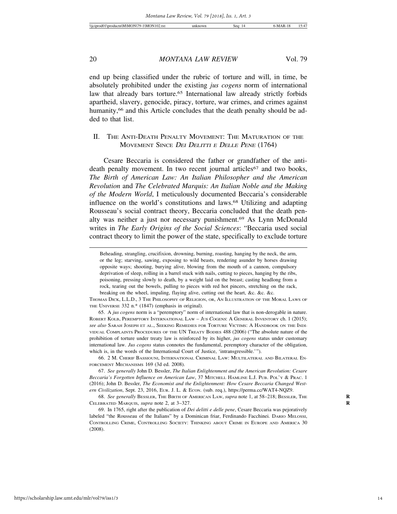end up being classified under the rubric of torture and will, in time, be absolutely prohibited under the existing *jus cogens* norm of international law that already bars torture.<sup>65</sup> International law already strictly forbids apartheid, slavery, genocide, piracy, torture, war crimes, and crimes against humanity,<sup>66</sup> and this Article concludes that the death penalty should be added to that list.

#### II. THE ANTI-DEATH PENALTY MOVEMENT: THE MATURATION OF THE MOVEMENT SINCE DEI DELITTI E DELLE PENE (1764)

Cesare Beccaria is considered the father or grandfather of the antideath penalty movement. In two recent journal articles<sup>67</sup> and two books, *The Birth of American Law: An Italian Philosopher and the American Revolution* and *The Celebrated Marquis: An Italian Noble and the Making of the Modern World*, I meticulously documented Beccaria's considerable influence on the world's constitutions and laws.68 Utilizing and adapting Rousseau's social contract theory, Beccaria concluded that the death penalty was neither a just nor necessary punishment.69 As Lynn McDonald writes in *The Early Origins of the Social Sciences*: "Beccaria used social contract theory to limit the power of the state, specifically to exclude torture

65. A *jus cogens* norm is a "peremptory" norm of international law that is non-derogable in nature. ROBERT KOLB, PEREMPTORY INTERNATIONAL LAW - JUS COGENS: A GENERAL INVENTORY ch. 1 (2015); *see also* SARAH JOSEPH ET AL., SEEKING REMEDIES FOR TORTURE VICTIMS: A HANDBOOK ON THE INDI-VIDUAL COMPLAINTS PROCEDURES OF THE UN TREATY BODIES 488 (2006) ("The absolute nature of the prohibition of torture under treaty law is reinforced by its higher, *jus cogens* status under customary international law. *Jus cogens* status connotes the fundamental, peremptory character of the obligation, which is, in the words of the International Court of Justice, 'intransgressible.'").

66. 2 M. CHERIF BASSIOUNI, INTERNATIONAL CRIMINAL LAW: MULTILATERAL AND BILATERAL EN-FORCEMENT MECHANISMS 169 (3d ed. 2008).

67. *See generally* John D. Bessler, *The Italian Enlightenment and the American Revolution: Cesare Beccaria's Forgotten Influence on American Law*, 37 MITCHELL HAMLINE L.J. PUB. POL'Y & PRAC. 1 (2016); John D. Bessler, *The Economist and the Enlightenment: How Cesare Beccaria Changed Western Civilization*, Sept. 23, 2016, EUR. J. L. & ECON. (sub. req.), https://perma.cc/WAT4-NQZ9.

68. *See generally* BESSLER, THE BIRTH OF AMERICAN LAW, *supra* note 1, at 58–218; BESSLER, THE **R** CELEBRATED MARQUIS, *supra* note 2, at 3–327. **R**

Beheading, strangling, crucifixion, drowning, burning, roasting, hanging by the neck, the arm, or the leg; starving, sawing, exposing to wild beasts, rendering asunder by horses drawing opposite ways; shooting, burying alive, blowing from the mouth of a cannon, compulsory deprivation of sleep, rolling in a barrel stuck with nails, cutting to pieces, hanging by the ribs, poisoning, pressing slowly to death, by a weight laid on the breast; casting headlong from a rock, tearing out the bowels, pulling to pieces with red hot pincers, stretching on the rack, breaking on the wheel, impaling, flaying alive, cutting out the heart, &c. &c. &c.

THOMAS DICK, L.L.D., 3 THE PHILOSOPHY OF RELIGION, OR, AN ILLUSTRATION OF THE MORAL LAWS OF THE UNIVERSE 332 n.\* (1847) (emphasis in original).

<sup>69.</sup> In 1765, right after the publication of *Dei delitti e delle pene*, Cesare Beccaria was pejoratively labeled "the Rousseau of the Italians" by a Dominican friar, Ferdinando Facchinei. DARIO MELOSSI, CONTROLLING CRIME, CONTROLLING SOCIETY: THINKING ABOUT CRIME IN EUROPE AND AMERICA 30 (2008).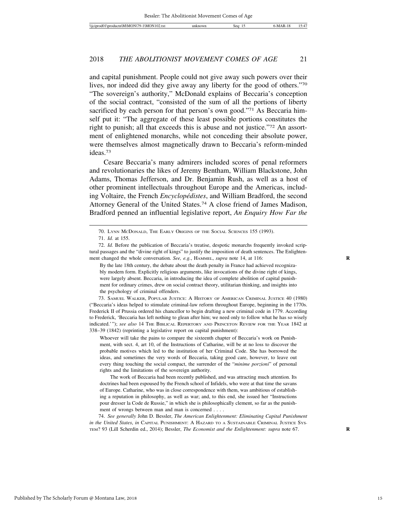and capital punishment. People could not give away such powers over their lives, nor indeed did they give away any liberty for the good of others."70 "The sovereign's authority," McDonald explains of Beccaria's conception of the social contract, "consisted of the sum of all the portions of liberty sacrificed by each person for that person's own good."<sup>71</sup> As Beccaria himself put it: "The aggregate of these least possible portions constitutes the right to punish; all that exceeds this is abuse and not justice."72 An assortment of enlightened monarchs, while not conceding their absolute power, were themselves almost magnetically drawn to Beccaria's reform-minded ideas.73

Cesare Beccaria's many admirers included scores of penal reformers and revolutionaries the likes of Jeremy Bentham, William Blackstone, John Adams, Thomas Jefferson, and Dr. Benjamin Rush, as well as a host of other prominent intellectuals throughout Europe and the Americas, including Voltaire, the French *Encyclopédistes*, and William Bradford, the second Attorney General of the United States.74 A close friend of James Madison, Bradford penned an influential legislative report, *An Enquiry How Far the*

73. SAMUEL WALKER, POPULAR JUSTICE: A HISTORY OF AMERICAN CRIMINAL JUSTICE 40 (1980) ("Beccaria's ideas helped to stimulate criminal-law reform throughout Europe, beginning in the 1770s. Frederick II of Prussia ordered his chancellor to begin drafting a new criminal code in 1779. According to Frederick, 'Beccaria has left nothing to glean after him; we need only to follow what he has so wisely indicated.'"); *see also* 14 THE BIBLICAL REPERTORY AND PRINCETON REVIEW FOR THE YEAR 1842 at 338–39 (1842) (reprinting a legislative report on capital punishment):

Whoever will take the pains to compare the sixteenth chapter of Beccaria's work on Punishment, with sect. 4, art 10, of the Instructions of Catharine, will be at no loss to discover the probable motives which led to the institution of her Criminal Code. She has borrowed the ideas, and sometimes the very words of Beccaria, taking good care, however, to leave out every thing touching the social compact, the surrender of the "*minime porzioni*" of personal rights and the limitations of the sovereign authority.

The work of Beccaria had been recently published, and was attracting much attention. Its doctrines had been espoused by the French school of Infidels, who were at that time the savans of Europe. Catharine, who was in close correspondence with them, was ambitious of establishing a reputation in philosophy, as well as war; and, to this end, she issued her "Instructions pour dresser la Code de Russie," in which she is philosophically clement, so far as the punishment of wrongs between man and man is concerned . . . .

74. *See generally* John D. Bessler, *The American Enlightenment: Eliminating Capital Punishment in the United States*, *in* CAPITAL PUNISHMENT: A HAZARD TO A SUSTAINABLE CRIMINAL JUSTICE SYS-TEM? 93 (Lill Scherdin ed., 2014); Bessler, *The Economist and the Enlightenment: supra* note 67. **R**

<sup>70.</sup> LYNN MCDONALD, THE EARLY ORIGINS OF THE SOCIAL SCIENCES 155 (1993). 71. *Id.* at 155.

<sup>72.</sup> *Id.* Before the publication of Beccaria's treatise, despotic monarchs frequently invoked scriptural passages and the "divine right of kings" to justify the imposition of death sentences. The Enlightenment changed the whole conversation. *See, e.g.*, HAMMEL, *supra* note 14, at 116: **R**

By the late 18th century, the debate about the death penalty in France had achieved recognizably modern form. Explicitly religious arguments, like invocations of the divine right of kings, were largely absent. Beccaria, in introducing the idea of complete abolition of capital punishment for ordinary crimes, drew on social contract theory, utilitarian thinking, and insights into the psychology of criminal offenders.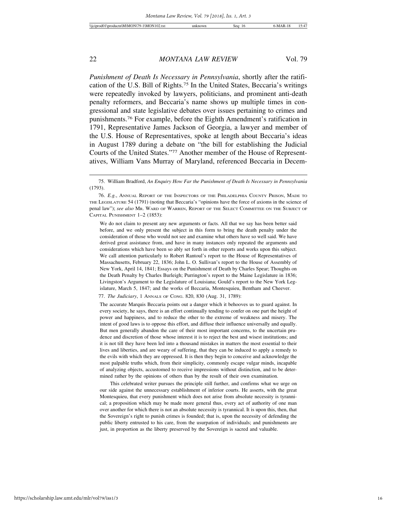*Punishment of Death Is Necessary in Pennsylvania*, shortly after the ratification of the U.S. Bill of Rights.75 In the United States, Beccaria's writings were repeatedly invoked by lawyers, politicians, and prominent anti-death penalty reformers, and Beccaria's name shows up multiple times in congressional and state legislative debates over issues pertaining to crimes and punishments.76 For example, before the Eighth Amendment's ratification in 1791, Representative James Jackson of Georgia, a lawyer and member of the U.S. House of Representatives, spoke at length about Beccaria's ideas in August 1789 during a debate on "the bill for establishing the Judicial Courts of the United States."77 Another member of the House of Representatives, William Vans Murray of Maryland, referenced Beccaria in Decem-

We do not claim to present any new arguments or facts. All that we say has been better said before, and we only present the subject in this form to bring the death penalty under the consideration of those who would not see and examine what others have so well said. We have derived great assistance from, and have in many instances only repeated the arguments and considerations which have been so ably set forth in other reports and works upon this subject. We call attention particularly to Robert Rantoul's report to the House of Representatives of Massachusetts, February 22, 1836; John L. O. Sullivan's report to the House of Assembly of New York, April 14, 1841; Essays on the Punishment of Death by Charles Spear; Thoughts on the Death Penalty by Charles Burleigh; Purrington's report to the Maine Legislature in 1836; Livingston's Argument to the Legislature of Louisiana; Gould's report to the New York Legislature, March 5, 1847; and the works of Beccaria, Montesquieu, Bentham and Cheever.

77. *The Judiciary*, 1 ANNALS OF CONG. 820, 830 (Aug. 31, 1789):

The accurate Marquis Beccaria points out a danger which it behooves us to guard against. In every society, he says, there is an effort continually tending to confer on one part the height of power and happiness, and to reduce the other to the extreme of weakness and misery. The intent of good laws is to oppose this effort, and diffuse their influence universally and equally. But men generally abandon the care of their most important concerns, to the uncertain prudence and discretion of those whose interest it is to reject the best and wisest institutions; and it is not till they have been led into a thousand mistakes in matters the most essential to their lives and liberties, and are weary of suffering, that they can be induced to apply a remedy to the evils with which they are oppressed. It is then they begin to conceive and acknowledge the most palpable truths which, from their simplicity, commonly escape vulgar minds, incapable of analyzing objects, accustomed to receive impressions without distinction, and to be determined rather by the opinions of others than by the result of their own examination.

This celebrated writer pursues the principle still further, and confirms what we urge on our side against the unnecessary establishment of inferior courts. He asserts, with the great Montesquieu, that every punishment which does not arise from absolute necessity is tyrannical; a proposition which may be made more general thus, every act of authority of one man over another for which there is not an absolute necessity is tyrannical. It is upon this, then, that the Sovereign's right to punish crimes is founded; that is, upon the necessity of defending the public liberty entrusted to his care, from the usurpation of individuals; and punishments are just, in proportion as the liberty preserved by the Sovereign is sacred and valuable.

<sup>75.</sup> William Bradford, *An Enquiry How Far the Punishment of Death Is Necessary in Pennsylvania* (1793).

<sup>76.</sup> *E.g.*, ANNUAL REPORT OF THE INSPECTORS OF THE PHILADELPHIA COUNTY PRISON, MADE TO THE LEGISLATURE 54 (1791) (noting that Beccaria's "opinions have the force of axioms in the science of penal law"); *see also* MR. WARD OF WARREN, REPORT OF THE SELECT COMMITTEE ON THE SUBJECT OF CAPITAL PUNISHMENT 1–2 (1853):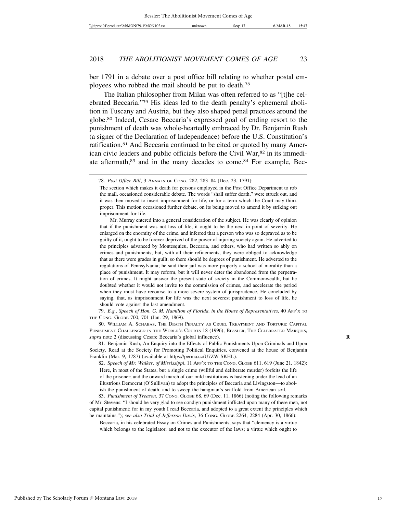ber 1791 in a debate over a post office bill relating to whether postal employees who robbed the mail should be put to death.78

The Italian philosopher from Milan was often referred to as "[t]he celebrated Beccaria."79 His ideas led to the death penalty's ephemeral abolition in Tuscany and Austria, but they also shaped penal practices around the globe.80 Indeed, Cesare Beccaria's expressed goal of ending resort to the punishment of death was whole-heartedly embraced by Dr. Benjamin Rush (a signer of the Declaration of Independence) before the U.S. Constitution's ratification.81 And Beccaria continued to be cited or quoted by many American civic leaders and public officials before the Civil War,<sup>82</sup> in its immediate aftermath,83 and in the many decades to come.84 For example, Bec-

79. *E.g.*, *Speech of Hon. G. M. Hamilton of Florida, in the House of Representatives*, 40 APP'X TO THE CONG. GLOBE 700, 701 (Jan. 29, 1869).

80. WILLIAM A. SCHABAS, THE DEATH PENALTY AS CRUEL TREATMENT AND TORTURE: CAPITAL PUNISHMENT CHALLENGED IN THE WORLD'S COURTS 18 (1996); BESSLER, THE CELEBRATED MARQUIS, *supra* note 2 (discussing Cesare Beccaria's global influence). **R**

81. Benjamin Rush, An Enquiry into the Effects of Public Punishments Upon Criminals and Upon Society, Read at the Society for Promoting Political Enquiries, convened at the house of Benjamin Franklin (Mar. 9, 1787) (available at https://perma.cc/U7ZW-SKHL).

82. *Speech of Mr. Walker, of Mississippi*, 11 APP'X TO THE CONG. GLOBE 611, 619 (June 21, 1842): Here, in most of the States, but a single crime (willful and deliberate murder) forfeits the life of the prisoner; and the onward march of our mild institutions is hastening under the lead of an illustrious Democrat (O'Sullivan) to adopt the principles of Beccaria and Livingston—to abolish the punishment of death, and to sweep the hangman's scaffold from American soil.

83. *Punishment of Treason*, 37 CONG. GLOBE 68, 69 (Dec. 11, 1866) (noting the following remarks of Mr. Stevens: "I should be very glad to see condign punishment inflicted upon many of these men, not capital punishment; for in my youth I read Beccaria, and adopted to a great extent the principles which he maintains."); *see also Trial of Jefferson Davis*, 36 Cong. GLOBE 2264, 2284 (Apr. 30, 1866):

Beccaria, in his celebrated Essay on Crimes and Punishments, says that "clemency is a virtue which belongs to the legislator, and not to the executor of the laws; a virtue which ought to

<sup>78.</sup> *Post Office Bill*, 3 ANNALS OF CONG. 282, 283–84 (Dec. 23, 1791):

The section which makes it death for persons employed in the Post Office Department to rob the mail, occasioned considerable debate. The words "shall suffer death," were struck out, and it was then moved to insert imprisonment for life, or for a term which the Court may think proper. This motion occasioned further debate, on its being moved to amend it by striking out imprisonment for life.

Mr. Murray entered into a general consideration of the subject. He was clearly of opinion that if the punishment was not loss of life, it ought to be the next in point of severity. He enlarged on the enormity of the crime, and inferred that a person who was so depraved as to be guilty of it, ought to be forever deprived of the power of injuring society again. He adverted to the principles advanced by Montesquieu, Beccaria, and others, who had written so ably on crimes and punishments; but, with all their refinements, they were obliged to acknowledge that as there were grades in guilt, so there should be degrees of punishment. He adverted to the regulations of Pennsylvania; he said their jail was more properly a school of morality than a place of punishment. It may reform, but it will never deter the abandoned from the perpetration of crimes. It might answer the present state of society in the Commonwealth, but he doubted whether it would not invite to the commission of crimes, and accelerate the period when they must have recourse to a more severe system of jurisprudence. He concluded by saying, that, as imprisonment for life was the next severest punishment to loss of life, he should vote against the last amendment.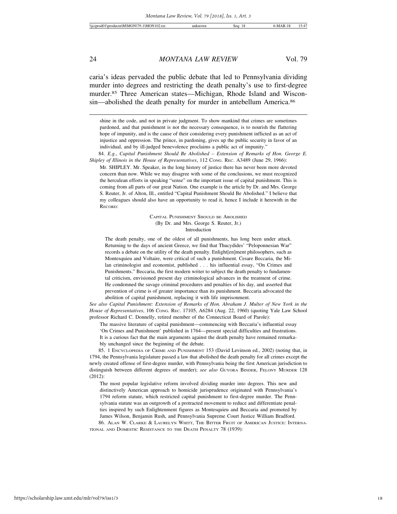caria's ideas pervaded the public debate that led to Pennsylvania dividing murder into degrees and restricting the death penalty's use to first-degree murder.85 Three American states—Michigan, Rhode Island and Wisconsin—abolished the death penalty for murder in antebellum America.<sup>86</sup>

CAPITAL PUNISHMENT SHOULD BE ABOLISHED (By Dr. and Mrs. George S. Reuter, Jr.) Introduction

The death penalty, one of the oldest of all punishments, has long been under attack. Returning to the days of ancient Greece, we find that Thucydides' "Peloponnesian War" records a debate on the utility of the death penalty. Enlight[en]ment philosophers, such as Montesquieu and Voltaire, were critical of such a punishment. Cesare Beccaria, the Milan criminologist and economist, published . . . his influential essay, "On Crimes and Punishments." Beccaria, the first modern writer to subject the death penalty to fundamental criticism, envisioned present day criminological advances in the treatment of crime. He condemned the savage criminal procedures and penalties of his day, and asserted that prevention of crime is of greater importance than its punishment. Beccaria advocated the abolition of capital punishment, replacing it with life imprisonment.

*See also Capital Punishment: Extension of Remarks of Hon. Abraham J. Multer of New York in the House of Representatives*, 106 CONG. REC. 17105, A6284 (Aug. 22, 1960) (quoting Yale Law School professor Richard C. Donnelly, retired member of the Connecticut Board of Parole):

The massive literature of capital punishment—commencing with Beccaria's influential essay

'On Crimes and Punishment' published in 1764—present special difficulties and frustrations.

It is a curious fact that the main arguments against the death penalty have remained remarka-

bly unchanged since the beginning of the debate.

85. 1 ENCYCLOPEDIA OF CRIME AND PUNISHMENT 153 (David Levinson ed., 2002) (noting that, in 1794, the Pennsylvania legislature passed a law that abolished the death penalty for all crimes except the newly created offense of first-degree murder, with Pennsylvania being the first American jurisdiction to distinguish between different degrees of murder); *see also* GUYORA BINDER, FELONY MURDER 128 (2012):

The most popular legislative reform involved dividing murder into degrees. This new and distinctively American approach to homicide jurisprudence originated with Pennsylvania's 1794 reform statute, which restricted capital punishment to first-degree murder. The Pennsylvania statute was an outgrowth of a protracted movement to reduce and differentiate penalties inspired by such Enlightenment figures as Montesquieu and Beccaria and promoted by James Wilson, Benjamin Rush, and Pennsylvania Supreme Court Justice William Bradford.

86. ALAN W. CLARKE & LAURELYN WHITT, THE BITTER FRUIT OF AMERICAN JUSTICE: INTERNA-TIONAL AND DOMESTIC RESISTANCE TO THE DEATH PENALTY 78 (1939):

shine in the code, and not in private judgment. To show mankind that crimes are sometimes pardoned, and that punishment is not the necessary consequence, is to nourish the flattering hope of impunity, and is the cause of their considering every punishment inflicted as an act of injustice and oppression. The prince, in pardoning, gives up the public security in favor of an individual, and by ill-judged benevolence proclaims a public act of impunity.'

<sup>84.</sup> *E.g.*, *Capital Punishment Should Be Abolished – Extension of Remarks of Hon. George E. Shipley of Illinois in the House of Representatives*, 112 CONG. REC. A3489 (June 29, 1966):

Mr. SHIPLEY. Mr. Speaker, in the long history of justice there has never been more devoted concern than now. While we may disagree with some of the conclusions, we must recognized the herculean efforts in speaking "sense" on the important issue of capital punishment. This is coming from all parts of our great Nation. One example is the article by Dr. and Mrs. George S. Reuter, Jr. of Alton, Ill., entitled "Capital Punishment Should Be Abolished." I believe that my colleagues should also have an opportunity to read it, hence I include it herewith in the RECORD: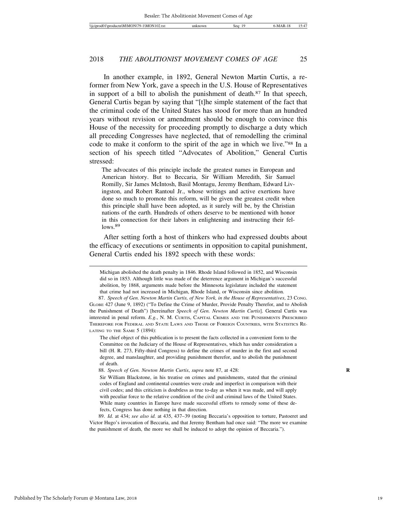In another example, in 1892, General Newton Martin Curtis, a reformer from New York, gave a speech in the U.S. House of Representatives in support of a bill to abolish the punishment of death.87 In that speech, General Curtis began by saying that "[t]he simple statement of the fact that the criminal code of the United States has stood for more than an hundred years without revision or amendment should be enough to convince this House of the necessity for proceeding promptly to discharge a duty which all preceding Congresses have neglected, that of remodelling the criminal code to make it conform to the spirit of the age in which we live."<sup>88</sup> In a section of his speech titled "Advocates of Abolition," General Curtis stressed:

The advocates of this principle include the greatest names in European and American history. But to Beccaria, Sir William Meredith, Sir Samuel Romilly, Sir James McIntosh, Basil Montagu, Jeremy Bentham, Edward Livingston, and Robert Rantoul Jr., whose writings and active exertions have done so much to promote this reform, will be given the greatest credit when this principle shall have been adopted, as it surely will be, by the Christian nations of the earth. Hundreds of others deserve to be mentioned with honor in this connection for their labors in enlightening and instructing their fellows.<sup>89</sup>

After setting forth a host of thinkers who had expressed doubts about the efficacy of executions or sentiments in opposition to capital punishment, General Curtis ended his 1892 speech with these words:

Michigan abolished the death penalty in 1846. Rhode Island followed in 1852, and Wisconsin did so in 1853. Although little was made of the deterrence argument in Michigan's successful abolition, by 1868, arguments made before the Minnesota legislature included the statement that crime had not increased in Michigan, Rhode Island, or Wisconsin since abolition.

<sup>87.</sup> *Speech of Gen. Newton Martin Curtis, of New York, in the House of Representatives*, 23 CONG. GLOBE 427 (June 9, 1892) ("To Define the Crime of Murder, Provide Penalty Therefor, and to Abolish the Punishment of Death") [hereinafter *Speech of Gen. Newton Martin Curtis*]. General Curtis was interested in penal reform. *E.g.*, N. M. CURTIS, CAPITAL CRIMES AND THE PUNISHMENTS PRESCRIBED THEREFORE FOR FEDERAL AND STATE LAWS AND THOSE OF FOREIGN COUNTRIES, WITH STATISTICS RE-LATING TO THE SAME 5 (1894):

The chief object of this publication is to present the facts collected in a convenient form to the Committee on the Judiciary of the House of Representatives, which has under consideration a bill (H. R. 273, Fifty-third Congress) to define the crimes of murder in the first and second degree, and manslaughter, and providing punishment therefor, and to abolish the punishment of death.

<sup>88.</sup> *Speech of Gen. Newton Martin Curtis*, *supra* note 87, at 428: **R**

Sir William Blackstone, in his treatise on crimes and punishments, stated that the criminal codes of England and continental countries were crude and imperfect in comparison with their civil codes; and this criticism is doubtless as true to-day as when it was made, and will apply with peculiar force to the relative condition of the civil and criminal laws of the United States. While many countries in Europe have made successful efforts to remedy some of these defects, Congress has done nothing in that direction.

<sup>89.</sup> *Id.* at 434; *see also id.* at 435, 437–39 (noting Beccaria's opposition to torture, Pastoeret and Victor Hugo's invocation of Beccaria, and that Jeremy Bentham had once said: "The more we examine the punishment of death, the more we shall be induced to adopt the opinion of Beccaria.").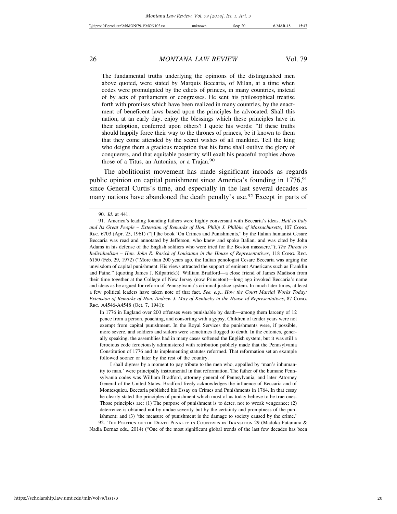The fundamental truths underlying the opinions of the distinguished men above quoted, were stated by Marquis Beccaria, of Milan, at a time when codes were promulgated by the edicts of princes, in many countries, instead of by acts of parliaments or congresses. He sent his philosophical treatise forth with promises which have been realized in many countries, by the enactment of beneficent laws based upon the principles he advocated. Shall this nation, at an early day, enjoy the blessings which these principles have in their adoption, conferred upon others? I quote his words: "If these truths should happily force their way to the thrones of princes, be it known to them that they come attended by the secret wishes of all mankind. Tell the king who deigns them a gracious reception that his fame shall outlive the glory of conquerers, and that equitable posterity will exalt his peaceful trophies above those of a Titus, an Antonius, or a Trajan.<sup>90</sup>

The abolitionist movement has made significant inroads as regards public opinion on capital punishment since America's founding in 1776,<sup>91</sup> since General Curtis's time, and especially in the last several decades as many nations have abandoned the death penalty's use.<sup>92</sup> Except in parts of

In 1776 in England over 200 offenses were punishable by death—among them larceny of 12 pence from a person, poaching, and consorting with a gypsy. Children of tender years were not exempt from capital punishment. In the Royal Services the punishments were, if possible, more severe, and soldiers and sailors were sometimes flogged to death. In the colonies, generally speaking, the assemblies had in many cases softened the English system, but it was still a ferocious code ferociously administered with retribution publicly made that the Pennsylvania Constitution of 1776 and its implementing statutes reformed. That reformation set an example followed sooner or later by the rest of the country.

I shall digress by a moment to pay tribute to the men who, appalled by 'man's inhumanity to man,' were principally instrumental in that reformation. The father of the humane Pennsylvania codes was William Bradford, attorney general of Pennsylvania, and later Attorney General of the United States. Bradford freely acknowledges the influence of Beccaria and of Montesquieu. Beccaria published his Essay on Crimes and Punishments in 1764. In that essay he clearly stated the principles of punishment which most of us today believe to be true ones. Those principles are: (1) The purpose of punishment is to deter, not to wreak vengeance; (2) deterrence is obtained not by undue severity but by the certainty and promptness of the punishment; and (3) 'the measure of punishment is the damage to society caused by the crime.'

92. THE POLITICS OF THE DEATH PENALTY IN COUNTRIES IN TRANSITION 29 (Madoka Futamura & Nadia Bernaz eds., 2014) ("One of the most significant global trends of the last few decades has been

<sup>90.</sup> *Id.* at 441.

<sup>91.</sup> America's leading founding fathers were highly conversant with Beccaria's ideas. *Hail to Italy and Its Great People – Extension of Remarks of Hon. Philip J. Philbin of Massachusetts*, 107 CONG. REC. 6703 (Apr. 25, 1961) ("[T]he book 'On Crimes and Punishments," by the Italian humanist Cesare Beccaria was read and annotated by Jefferson, who knew and spoke Italian, and was cited by John Adams in his defense of the English soldiers who were tried for the Boston massacre."); *The Threat to Individualism – Hon. John R. Rarick of Louisiana in the House of Representatives*, 118 CONG. REC. 6150 (Feb. 29, 1972) ("More than 200 years ago, the Italian penologist Cesare Beccaria was urging the unwisdom of capital punishment. His views attracted the support of eminent Americans such as Franklin and Paine." (quoting James J. Kilpatrick)). William Bradford—a close friend of James Madison from their time together at the College of New Jersey (now Princeton)—long ago invoked Beccaria's name and ideas as he argued for reform of Pennsylvania's criminal justice system. In much later times, at least a few political leaders have taken note of that fact. *See, e.g.*, *How the Court Martial Works Today: Extension of Remarks of Hon. Andrew J. May of Kentucky in the House of Representatives*, 87 CONG. REC. A4546-A4548 (Oct. 7, 1941):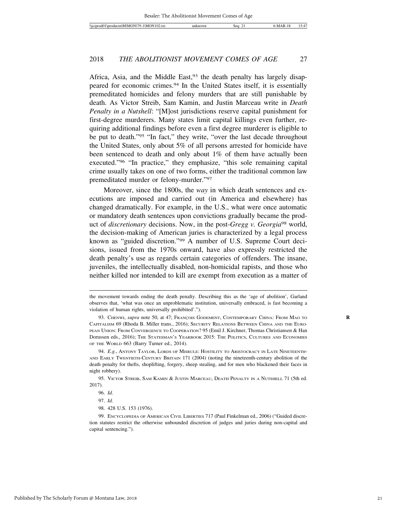Africa, Asia, and the Middle East,  $93$  the death penalty has largely disappeared for economic crimes.94 In the United States itself, it is essentially premeditated homicides and felony murders that are still punishable by death. As Victor Streib, Sam Kamin, and Justin Marceau write in *Death Penalty in a Nutshell*: "[M]ost jurisdictions reserve capital punishment for first-degree murderers. Many states limit capital killings even further, requiring additional findings before even a first degree murderer is eligible to be put to death."95 "In fact," they write, "over the last decade throughout the United States, only about 5% of all persons arrested for homicide have been sentenced to death and only about 1% of them have actually been executed."96 "In practice," they emphasize, "this sole remaining capital crime usually takes on one of two forms, either the traditional common law premeditated murder or felony-murder."97

Moreover, since the 1800s, the *way* in which death sentences and executions are imposed and carried out (in America and elsewhere) has changed dramatically. For example, in the U.S., what were once automatic or mandatory death sentences upon convictions gradually became the product of *discretionary* decisions. Now, in the post-*Gregg v. Georgia*98 world, the decision-making of American juries is characterized by a legal process known as "guided discretion."99 A number of U.S. Supreme Court decisions, issued from the 1970s onward, have also expressly restricted the death penalty's use as regards certain categories of offenders. The insane, juveniles, the intellectually disabled, non-homicidal rapists, and those who neither killed nor intended to kill are exempt from execution as a matter of

95. VICTOR STREIB, SAM KAMIN & JUSTIN MARCEAU, DEATH PENALTY IN A NUTSHELL 71 (5th ed. 2017).

the movement towards ending the death penalty. Describing this as the 'age of abolition', Garland observes that, 'what was once an unproblematic institution, universally embraced, is fast becoming a violation of human rights, universally prohibited'.").

<sup>93.</sup> CHENWI, *supra* note 50, at 47; FRANÇOIS GODEMENT, CONTEMPORARY CHINA: FROM MAO TO **R** CAPITALISM 69 (Rhoda B. Miller trans., 2016); SECURITY RELATIONS BETWEEN CHINA AND THE EURO-PEAN UNION: FROM CONVERGENCE TO COOPERATION? 95 (Emil J. Kirchner, Thomas Christiansen & Han Dorussen eds., 2016); THE STATESMAN'S YEARBOOK 2015: THE POLITICS, CULTURES AND ECONOMIES OF THE WORLD 663 (Barry Turner ed., 2014).

<sup>94.</sup> *E.g.*, ANTONY TAYLOR, LORDS OF MISRULE: HOSTILITY TO ARISTOCRACY IN LATE NINETEENTH-AND EARLY TWENTIETH-CENTURY BRITAIN 171 (2004) (noting the nineteenth-century abolition of the death penalty for thefts, shoplifting, forgery, sheep stealing, and for men who blackened their faces in night robbery).

<sup>96.</sup> *Id.*

<sup>97.</sup> *Id.*

<sup>98. 428</sup> U.S. 153 (1976).

<sup>99.</sup> ENCYCLOPEDIA OF AMERICAN CIVIL LIBERTIES 717 (Paul Finkelman ed., 2006) ("Guided discretion statutes restrict the otherwise unbounded discretion of judges and juries during non-capital and capital sentencing.").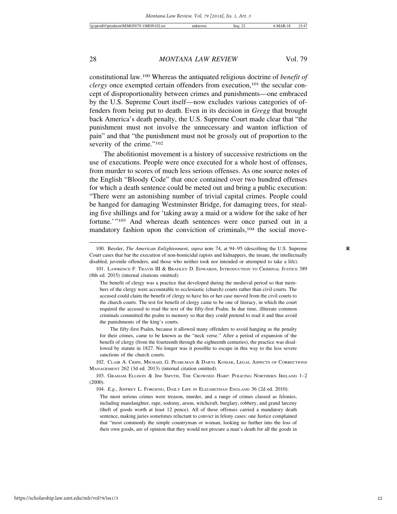constitutional law.100 Whereas the antiquated religious doctrine of *benefit of clergy* once exempted certain offenders from execution,<sup>101</sup> the secular concept of disproportionality between crimes and punishments—one embraced by the U.S. Supreme Court itself—now excludes various categories of offenders from being put to death. Even in its decision in *Gregg* that brought back America's death penalty, the U.S. Supreme Court made clear that "the punishment must not involve the unnecessary and wanton infliction of pain" and that "the punishment must not be grossly out of proportion to the severity of the crime."<sup>102</sup>

The abolitionist movement is a history of successive restrictions on the use of executions. People were once executed for a whole host of offenses, from murder to scores of much less serious offenses. As one source notes of the English "Bloody Code" that once contained over two hundred offenses for which a death sentence could be meted out and bring a public execution: "There were an astonishing number of trivial capital crimes. People could be hanged for damaging Westminster Bridge, for damaging trees, for stealing five shillings and for 'taking away a maid or a widow for the sake of her fortune.'"103 And whereas death sentences were once parsed out in a mandatory fashion upon the conviction of criminals,<sup>104</sup> the social move-

101. LAWRENCE F. TRAVIS III & BRADLEY D. EDWARDS, INTRODUCTION TO CRIMINAL JUSTICE 389 (8th ed. 2015) (internal citations omitted):

The fifty-first Psalm, because it allowed many offenders to avoid hanging as the penalty for their crimes, came to be known as the "neck verse." After a period of expansion of the benefit of clergy (from the fourteenth through the eighteenth centuries), the practice was disallowed by statute in 1827. No longer was it possible to escape in this way to the less severe sanctions of the church courts.

102. CLAIR A. CRIPE, MICHAEL G. PEARLMAN & DARYL KOSIAK, LEGAL ASPECTS OF CORRECTIONS MANAGEMENT 262 (3d ed. 2013) (internal citation omitted).

104. *E.g.*, JEFFREY L. FORGENG, DAILY LIFE IN ELIZABETHAN ENGLAND 36 (2d ed. 2010):

https://scholarship.law.umt.edu/mlr/vol79/iss1/3

<sup>100.</sup> Bessler, *The American Enlightenment*, *supra* note 74, at 94–95 (describing the U.S. Supreme **R** Court cases that bar the execution of non-homicidal rapists and kidnappers, the insane, the intellectually disabled, juvenile offenders, and those who neither took nor intended or attempted to take a life).

The benefit of clergy was a practice that developed during the medieval period so that members of the clergy were accountable to ecclesiastic (church) courts rather than civil courts. The accused could claim the benefit of clergy to have his or her case moved from the civil courts to the church courts. The test for benefit of clergy came to be one of literacy, in which the court required the accused to read the text of the fifty-first Psalm. In due time, illiterate common criminals committed the psalm to memory so that they could pretend to read it and thus avoid the punishments of the king's courts.

<sup>103.</sup> GRAHAM ELLISON & JIM SMYTH, THE CROWNED HARP: POLICING NORTHERN IRELAND 1–2 (2000).

The most serious crimes were treason, murder, and a range of crimes classed as felonies, including manslaughter, rape, sodomy, arson, witchcraft, burglary, robbery, and grand larceny (theft of goods worth at least 12 pence). All of these offenses carried a mandatory death sentence, making juries sometimes reluctant to convict in felony cases: one Justice complained that "most commonly the simple countryman or woman, looking no further into the loss of their own goods, are of opinion that they would not procure a man's death for all the goods in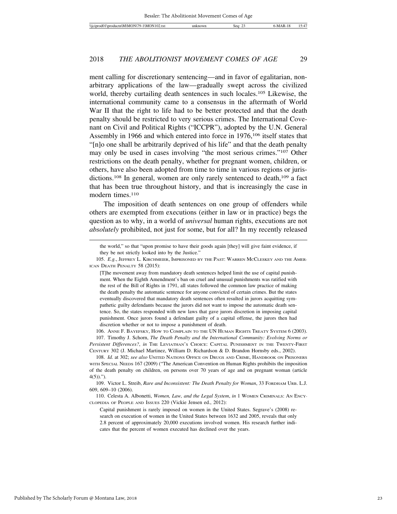ment calling for discretionary sentencing—and in favor of egalitarian, nonarbitrary applications of the law—gradually swept across the civilized world, thereby curtailing death sentences in such locales.<sup>105</sup> Likewise, the international community came to a consensus in the aftermath of World War II that the right to life had to be better protected and that the death penalty should be restricted to very serious crimes. The International Covenant on Civil and Political Rights ("ICCPR"), adopted by the U.N. General Assembly in 1966 and which entered into force in 1976,106 itself states that "[n]o one shall be arbitrarily deprived of his life" and that the death penalty may only be used in cases involving "the most serious crimes."107 Other restrictions on the death penalty, whether for pregnant women, children, or others, have also been adopted from time to time in various regions or jurisdictions.<sup>108</sup> In general, women are only rarely sentenced to death,<sup>109</sup> a fact that has been true throughout history, and that is increasingly the case in modern times.<sup>110</sup>

The imposition of death sentences on one group of offenders while others are exempted from executions (either in law or in practice) begs the question as to why, in a world of *universal* human rights, executions are not *absolutely* prohibited, not just for some, but for all? In my recently released

[T]he movement away from mandatory death sentences helped limit the use of capital punishment. When the Eighth Amendment's ban on cruel and unusual punishments was ratified with the rest of the Bill of Rights in 1791, all states followed the common law practice of making the death penalty the automatic sentence for anyone convicted of certain crimes. But the states eventually discovered that mandatory death sentences often resulted in jurors acquitting sympathetic guilty defendants because the jurors did not want to impose the automatic death sentence. So, the states responded with new laws that gave jurors discretion in imposing capital punishment. Once jurors found a defendant guilty of a capital offense, the jurors then had discretion whether or not to impose a punishment of death.

106. ANNE F. BAYEFSKY, HOW TO COMPLAIN TO THE UN HUMAN RIGHTS TREATY SYSTEM 6 (2003). 107. Timothy J. Schorn, *The Death Penalty and the International Community: Evolving Norms or Persistent Differences?*, *in* THE LEVIATHAN'S CHOICE: CAPITAL PUNISHMENT IN THE TWENTY-FIRST CENTURY 302 (J. Michael Martinez, William D. Richardson & D. Brandon Hornsby eds., 2002).

the world," so that "upon promise to have their goods again [they] will give faint evidence, if they be not strictly looked into by the Justice."

<sup>105.</sup> *E.g.*, JEFFREY L. KIRCHMEIER, IMPRISONED BY THE PAST: WARREN MCCLESKEY AND THE AMER-ICAN DEATH PENALTY 58 (2015):

<sup>108.</sup> *Id.* at 302; *see also* UNITED NATIONS OFFICE ON DRUGS AND CRIME, HANDBOOK ON PRISONERS WITH SPECIAL NEEDS 167 (2009) ("The American Convention on Human Rights prohibits the imposition of the death penalty on children, on persons over 70 years of age and on pregnant woman (article  $4(5)$ .").

<sup>109.</sup> Victor L. Streib, *Rare and Inconsistent: The Death Penalty for Woman*, 33 FORDHAM URB. L.J. 609, 609–10 (2006).

<sup>110.</sup> Celesta A. Albonetti, *Women, Law, and the Legal System*, *in* 1 WOMEN CRIMINALS: AN ENCY-CLOPEDIA OF PEOPLE AND ISSUES 220 (Vickie Jensen ed., 2012):

Capital punishment is rarely imposed on women in the United States. Segrave's (2008) research on execution of women in the United States between 1632 and 2005, reveals that only 2.8 percent of approximately 20,000 executions involved women. His research further indicates that the percent of women executed has declined over the years.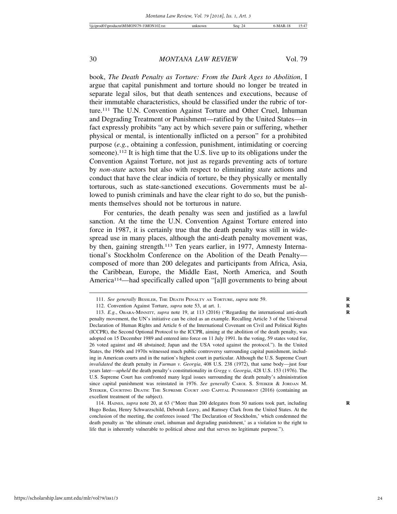book, *The Death Penalty as Torture: From the Dark Ages to Abolition*, I argue that capital punishment and torture should no longer be treated in separate legal silos, but that death sentences and executions, because of their immutable characteristics, should be classified under the rubric of torture.111 The U.N. Convention Against Torture and Other Cruel, Inhuman and Degrading Treatment or Punishment—ratified by the United States—in fact expressly prohibits "any act by which severe pain or suffering, whether physical or mental, is intentionally inflicted on a person" for a prohibited purpose (*e.g.*, obtaining a confession, punishment, intimidating or coercing someone).112 It is high time that the U.S. live up to its obligations under the Convention Against Torture, not just as regards preventing acts of torture by *non-state* actors but also with respect to eliminating *state* actions and conduct that have the clear indicia of torture, be they physically or mentally torturous, such as state-sanctioned executions. Governments must be allowed to punish criminals and have the clear right to do so, but the punishments themselves should not be torturous in nature.

For centuries, the death penalty was seen and justified as a lawful sanction. At the time the U.N. Convention Against Torture entered into force in 1987, it is certainly true that the death penalty was still in widespread use in many places, although the anti-death penalty movement was, by then, gaining strength.113 Ten years earlier, in 1977, Amnesty International's Stockholm Conference on the Abolition of the Death Penalty composed of more than 200 delegates and participants from Africa, Asia, the Caribbean, Europe, the Middle East, North America, and South America<sup>114</sup>—had specifically called upon "[a]ll governments to bring about

<sup>111.</sup> *See generally* BESSLER, THE DEATH PENALTY AS TORTURE, *supra* note 59. **R**

<sup>112.</sup> Convention Against Torture, *supra* note 53, at art. 1. **R**

<sup>113.</sup> *E.g.*, OBARA-MINNITT, *supra* note 19, at 113 (2016) ("Regarding the international anti-death **R** penalty movement, the UN's initiative can be cited as an example. Recalling Article 3 of the Universal Declaration of Human Rights and Article 6 of the International Covenant on Civil and Political Rights (ICCPR), the Second Optional Protocol to the ICCPR, aiming at the abolition of the death penalty, was adopted on 15 December 1989 and entered into force on 11 July 1991. In the voting, 59 states voted for, 26 voted against and 48 abstained; Japan and the USA voted against the protocol."). In the United States, the 1960s and 1970s witnessed much public controversy surrounding capital punishment, including in American courts and in the nation's highest court in particular. Although the U.S. Supreme Court *invalidated* the death penalty in *Furman v. Georgia*, 408 U.S. 238 (1972), that same body—just four years later—*upheld* the death penalty's constitutionality in *Gregg v. Georgia*, 428 U.S. 153 (1976). The U.S. Supreme Court has confronted many legal issues surrounding the death penalty's administration since capital punishment was reinstated in 1976. *See generally* CAROL S. STEIKER & JORDAN M. STEIKER, COURTING DEATH: THE SUPREME COURT AND CAPITAL PUNISHMENT (2016) (containing an excellent treatment of the subject).

<sup>114.</sup> HAINES, *supra* note 20, at 63 ("More than 200 delegates from 50 nations took part, including **R** Hugo Bedau, Henry Schwarzschild, Deborah Leavy, and Ramsey Clark from the United States. At the conclusion of the meeting, the conferees issued 'The Declaration of Stockholm,' which condemned the death penalty as 'the ultimate cruel, inhuman and degrading punishment,' as a violation to the right to life that is inherently vulnerable to political abuse and that serves no legitimate purpose.").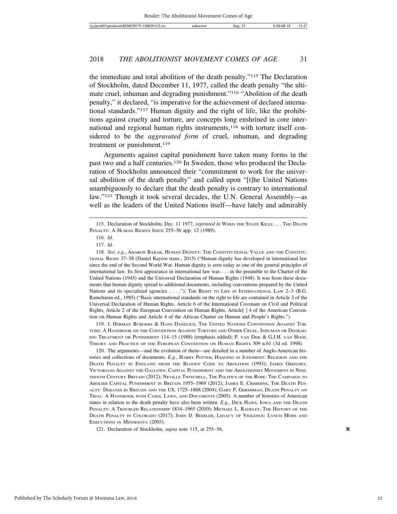the immediate and total abolition of the death penalty."115 The Declaration of Stockholm, dated December 11, 1977, called the death penalty "the ultimate cruel, inhuman and degrading punishment."116 "Abolition of the death penalty," it declared, "is imperative for the achievement of declared international standards."117 Human dignity and the right of life, like the prohibitions against cruelty and torture, are concepts long enshrined in core international and regional human rights instruments,<sup>118</sup> with torture itself considered to be the *aggravated form* of cruel, inhuman, and degrading treatment or punishment.<sup>119</sup>

Arguments against capital punishment have taken many forms in the past two and a half centuries.120 In Sweden, those who produced the Declaration of Stockholm announced their "commitment to work for the universal abolition of the death penalty" and called upon "[t]he United Nations unambiguously to declare that the death penalty is contrary to international law."121 Though it took several decades, the U.N. General Assembly—as well as the leaders of the United Nations itself—have lately and admirably

119. J. HERMAN BURGERS & HANS DANELIUS, THE UNITED NATIONS CONVENTION AGAINST TOR-TURE: A HANDBOOK ON THE CONVENTION AGAINST TORTURE AND OTHER CRUEL, INHUMAN OR DEGRAD-ING TREATMENT OR PUNISHMENT 114–15 (1988) (emphasis added); P. VAN DIJK & G.J.H. VAN HOOF, THEORY AND PRACTICE OF THE EUROPEAN CONVENTION ON HUMAN RIGHTS 309 n.61 (3d ed. 1998).

120. The arguments—and the evolution of them—are detailed in a number of Anglo-American histories and collections of documents. *E.g.*, HARRY POTTER, HANGING IN JUDGMENT: RELIGION AND THE DEATH PENALTY IN ENGLAND FROM THE BLOODY CODE TO ABOLITION (1993); JAMES GREGORY, VICTORIANS AGAINST THE GALLOWS: CAPITAL PUNISHMENT AND THE ABOLITIONIST MOVEMENT IN NINE-TEENTH CENTURY BRITAIN (2012); NEVILLE TWITCHELL, THE POLITICS OF THE ROPE: THE CAMPAIGN TO ABOLISH CAPITAL PUNISHMENT IN BRITAIN 1955–1969 (2012); JAMES E. CRIMMINS, THE DEATH PEN-ALTY: DEBATES IN BRITAIN AND THE US, 1725–1868 (2004); GARY P. GERSHMAN, DEATH PENALTY ON TRIAL: A HANDBOOK WITH CASES, LAWS, AND DOCUMENTS (2005). A number of histories of American states in relation to the death penalty have also been written. *E.g.*, DICK HAWS, IOWA AND THE DEATH PENALTY: A TROUBLED RELATIONSHIP 1834–1965 (2010); MICHAEL L. RADELET, THE HISTORY OF THE DEATH PENALTY IN COLORADO (2017); JOHN D. BESSLER, LEGACY OF VIOLENCE: LYNCH MOBS AND EXECUTIONS IN MINNESOTA (2003).

121. Declaration of Stockholm, *supra* note 115, at 255–56. **R**

<sup>115.</sup> Declaration of Stockholm, Dec. 11 1977, *reprinted in* WHEN THE STATE KILLS . . . THE DEATH PENALTY: A HUMAN RIGHTS ISSUE 255–56 app. 12 (1989).

<sup>116.</sup> *Id.*

<sup>117.</sup> *Id.*

<sup>118.</sup> *See, e.g.*, AHARON BARAK, HUMAN DIGNITY: THE CONSTITUTIONAL VALUE AND THE CONSTITU-TIONAL RIGHT 37–38 (Daniel Kayros trans., 2015) ("Human dignity has developed in international law since the end of the Second World War. Human dignity is seen today as one of the general principles of international law. Its first appearance in international law was . . . in the preamble to the Charter of the United Nations (1945) and the Universal Declaration of Human Rights (1948). It was from these documents that human dignity spread to additional documents, including conventions prepared by the United Nations and its specialized agencies . . . ."); THE RIGHT TO LIFE IN INTERNATIONAL LAW 2-3 (B.G. Ramcharan ed., 1985) ("Basic international standards on the right to life are contained in Article 3 of the Universal Declaration of Human Rights, Article 6 of the International Covenant on Civil and Political Rights, Article 2 of the European Convention on Human Rights, Article<sup>[]</sup> 4 of the American Convention on Human Rights and Article 4 of the African Charter on Human and People's Rights.").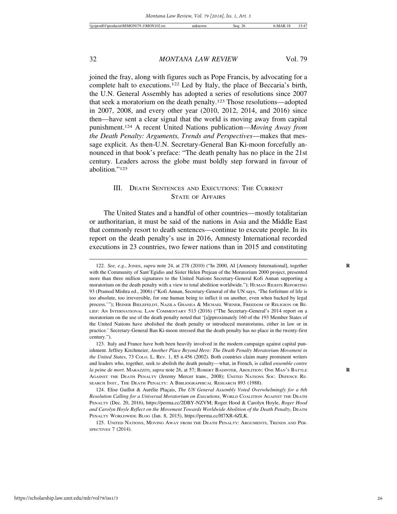joined the fray, along with figures such as Pope Francis, by advocating for a complete halt to executions.122 Led by Italy, the place of Beccaria's birth, the U.N. General Assembly has adopted a series of resolutions since 2007 that seek a moratorium on the death penalty.123 Those resolutions—adopted in 2007, 2008, and every other year (2010, 2012, 2014, and 2016) since then—have sent a clear signal that the world is moving away from capital punishment.124 A recent United Nations publication—*Moving Away from the Death Penalty: Arguments, Trends and Perspectives*—makes that message explicit. As then-U.N. Secretary-General Ban Ki-moon forcefully announced in that book's preface: "The death penalty has no place in the 21st century. Leaders across the globe must boldly step forward in favour of abolition."125

#### III. DEATH SENTENCES AND EXECUTIONS: THE CURRENT STATE OF AFFAIRS

The United States and a handful of other countries—mostly totalitarian or authoritarian, it must be said of the nations in Asia and the Middle East that commonly resort to death sentences—continue to execute people. In its report on the death penalty's use in 2016, Amnesty International recorded executions in 23 countries, two fewer nations than in 2015 and constituting

<sup>122.</sup> *See, e.g.*, JONES, *supra* note 24, at 278 (2010) ("In 2000, AI [Amnesty International], together **R** with the Community of Sant'Egidio and Sister Helen Prejean of the Moratorium 2000 project, presented more than three million signatures to the United Nations Secretary-General Kofi Annan supporting a moratorium on the death penalty with a view to total abolition worldwide."); HUMAN RIGHTS REPORTING 93 (Pramod Mishra ed., 2006) ("Kofi Annan, Secretary-General of the UN says, 'The forfeiture of life is too absolute, too irreversible, for one human being to inflict it on another, even when backed by legal process.'"); HEINER BIELEFELDT, NAZILA GHANEA & MICHAEL WIENER, FREEDOM OF RELIGION OR BE-LIEF: AN INTERNATIONAL LAW COMMENTARY 513 (2016) ("The Secretary-General's 2014 report on a moratorium on the use of the death penalty noted that '[a]pproximately 160 of the 193 Member States of the United Nations have abolished the death penalty or introduced moratoriums, either in law or in practice.' Secretary-General Ban Ki-moon stressed that the death penalty has no place in the twenty-first century.").

<sup>123.</sup> Italy and France have both been heavily involved in the modern campaign against capital punishment. Jeffrey Kirchmeier, *Another Place Beyond Here: The Death Penalty Moratorium Movement in the United States*, 73 COLO. L. REV. 1, 85 n.456 (2002). Both countries claim many prominent writers and leaders who, together, seek to abolish the death penalty—what, in French, is called *ensemble contre la peine de mort*. MARAZZITI, *supra* note 26, at 57; ROBERT BADINTER, ABOLITION: ONE MAN'S BATTLE **R** AGAINST THE DEATH PENALTY (Jeremy Mercer trans., 2008); UNITED NATIONS SOC. DEFENCE RE-SEARCH INST., THE DEATH PENALTY: A BIBLIOGRAPHICAL RESEARCH 893 (1988).

<sup>124.</sup> Elise Guillot & Aurélie Plaçais, *The UN General Assembly Voted Overwhelmingly for a 6th Resolution Calling for a Universal Moratorium on Executions*, WORLD COALITION AGAINST THE DEATH PENALTY (Dec. 20, 2016), https://perma.cc/2DBY-NZVM; Roger Hood & Carolyn Hoyle, *Roger Hood and Carolyn Hoyle Reflect on the Movement Towards Worldwide Abolition of the Death Penalty*, DEATH PENALTY WORLDWIDE BLOG (Jan. 8, 2015), https://perma.cc/H7XR-6ZLK.

<sup>125.</sup> UNITED NATIONS, MOVING AWAY FROM THE DEATH PENALTY: ARGUMENTS, TRENDS AND PER-SPECTIVES 7 (2014).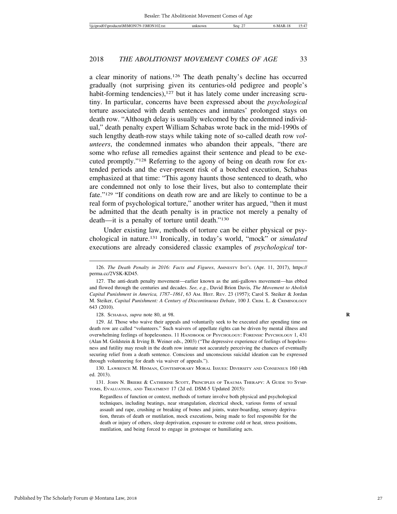a clear minority of nations.126 The death penalty's decline has occurred gradually (not surprising given its centuries-old pedigree and people's habit-forming tendencies),<sup>127</sup> but it has lately come under increasing scrutiny. In particular, concerns have been expressed about the *psychological* torture associated with death sentences and inmates' prolonged stays on death row. "Although delay is usually welcomed by the condemned individual," death penalty expert William Schabas wrote back in the mid-1990s of such lengthy death-row stays while taking note of so-called death row *volunteers*, the condemned inmates who abandon their appeals, "there are some who refuse all remedies against their sentence and plead to be executed promptly."128 Referring to the agony of being on death row for extended periods and the ever-present risk of a botched execution, Schabas emphasized at that time: "This agony haunts those sentenced to death, who are condemned not only to lose their lives, but also to contemplate their fate."129 "If conditions on death row are and are likely to continue to be a real form of psychological torture," another writer has argued, "then it must be admitted that the death penalty is in practice not merely a penalty of death—it is a penalty of torture until death."130

Under existing law, methods of torture can be either physical or psychological in nature.131 Ironically, in today's world, "mock" or *simulated* executions are already considered classic examples of *psychological* tor-

128. SCHABAS, *supra* note 80, at 98. **R**

129. *Id.* Those who waive their appeals and voluntarily seek to be executed after spending time on death row are called "volunteers." Such waivers of appellate rights can be driven by mental illness and overwhelming feelings of hopelessness. 11 HANDBOOK OF PSYCHOLOGY: FORENSIC PSYCHOLOGY 1, 431 (Alan M. Goldstein & Irving B. Weiner eds., 2003) ("The depressive experience of feelings of hopelessness and futility may result in the death row inmate not accurately perceiving the chances of eventually securing relief from a death sentence. Conscious and unconscious suicidal ideation can be expressed through volunteering for death via waiver of appeals.").

130. LAWRENCE M. HINMAN, CONTEMPORARY MORAL ISSUES: DIVERSITY AND CONSENSUS 160 (4th ed. 2013).

131. JOHN N. BRIERE & CATHERINE SCOTT, PRINCIPLES OF TRAUMA THERAPY: A GUIDE TO SYMP-TOMS, EVALUATION, AND TREATMENT 17 (2d ed. DSM-5 Updated 2015):

Regardless of function or context, methods of torture involve both physical and psychological techniques, including beatings, near strangulation, electrical shock, various forms of sexual assault and rape, crushing or breaking of bones and joints, water-boarding, sensory deprivation, threats of death or mutilation, mock executions, being made to feel responsible for the death or injury of others, sleep deprivation, exposure to extreme cold or heat, stress positions, mutilation, and being forced to engage in grotesque or humiliating acts.

<sup>126.</sup> *The Death Penalty in 2016: Facts and Figures*, AMNESTY INT'L (Apr. 11, 2017), https:// perma.cc/2VSK-KD45.

<sup>127.</sup> The anti-death penalty movement—earlier known as the anti-gallows movement—has ebbed and flowed through the centuries and decades. *See, e.g.*, David Brion Davis, *The Movement to Abolish Capital Punishment in America, 1787*–*1861*, 63 AM. HIST. REV. 23 (1957); Carol S. Steiker & Jordan M. Steiker, *Capital Punishment: A Century of Discontinuous Debate*, 100 J. CRIM. L. & CRIMINOLOGY 643 (2010).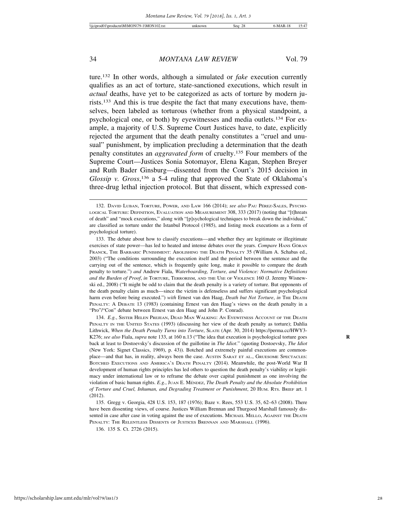ture.132 In other words, although a simulated or *fake* execution currently qualifies as an act of torture, state-sanctioned executions, which result in *actual* deaths, have yet to be categorized as acts of torture by modern jurists.133 And this is true despite the fact that many executions have, themselves, been labeled as torturous (whether from a physical standpoint, a psychological one, or both) by eyewitnesses and media outlets.134 For example, a majority of U.S. Supreme Court Justices have, to date, explicitly rejected the argument that the death penalty constitutes a "cruel and unusual" punishment, by implication precluding a determination that the death penalty constitutes an *aggravated form* of cruelty.135 Four members of the Supreme Court—Justices Sonia Sotomayor, Elena Kagan, Stephen Breyer and Ruth Bader Ginsburg—dissented from the Court's 2015 decision in Glossip v. Gross,<sup>136</sup> a 5-4 ruling that approved the State of Oklahoma's three-drug lethal injection protocol. But that dissent, which expressed con-

134. *E.g.*, SISTER HELEN PREJEAN, DEAD MAN WALKING: AN EYEWITNESS ACCOUNT OF THE DEATH PENALTY IN THE UNITED STATES (1993) (discussing her view of the death penalty as torture); Dahlia Lithwick, *When the Death Penalty Turns into Torture*, SLATE (Apr. 30, 2014) https://perma.cc/HWY3- K276; *see also* Fiala, *supra* note 133, at 160 n.13 ("The idea that execution is psychological torture goes **R** back at least to Dostoevsky's discussion of the guillotine in *The Idiot*." (quoting Dostoevsky, *The Idiot* (New York: Signet Classics, 1969), p. 43)). Botched and extremely painful executions are commonplace—and that has, in reality, always been the case. AUSTIN SARAT ET AL., GRUESOME SPECTACLES: BOTCHED EXECUTIONS AND AMERICA'S DEATH PENALTY (2014). Meanwhile, the post-World War II development of human rights principles has led others to question the death penalty's viability or legitimacy under international law or to reframe the debate over capital punishment as one involving the violation of basic human rights. *E.g.*, JUAN E. MENDEZ ´ , *The Death Penalty and the Absolute Prohibition of Torture and Cruel, Inhuman, and Degrading Treatment or Punishment*, 20 HUM. RTS. BRIEF art. 1 (2012).

<sup>132.</sup> DAVID LUBAN, TORTURE, POWER, AND LAW 166 (2014); *see also* PAU PÉREZ-SALES, PSYCHO-LOGICAL TORTURE: DEFINITION, EVALUATION AND MEASUREMENT 308, 333 (2017) (noting that "[t]hreats of death" and "mock executions," along with "[p]sychological techniques to break down the individual," are classified as torture under the Istanbul Protocol (1985), and listing mock executions as a form of psychological torture).

<sup>133.</sup> The debate about how to classify executions—and whether they are legitimate or illegitimate exercises of state power—has led to heated and intense debates over the years. *Compare* HANS GÖRAN FRANCK, THE BARBARIC PUNISHMENT: ABOLISHING THE DEATH PENALTY 35 (William A. Schabas ed., 2003) ("The conditions surrounding the execution itself and the period between the sentence and the carrying out of the sentence, which is frequently quite long, make it possible to compare the death penalty to torture.") *and* Andrew Fiala, *Waterboarding, Torture, and Violence: Normative Definitions and the Burden of Proof*, *in* TORTURE, TERRORISM, AND THE USE OF VIOLENCE 160 (J. Jeremy Wisnewski ed., 2008) ("It might be odd to claim that the death penalty is a variety of torture. But opponents of the death penalty claim as much—since the victim is defenseless and suffers significant psychological harm even before being executed.") with Ernest van den Haag, *Death but Not Torture*, in THE DEATH PENALTY: A DEBATE 13 (1983) (containing Ernest van den Haag's views on the death penalty in a "Pro"/"Con" debate between Ernest van den Haag and John P. Conrad).

<sup>135.</sup> Gregg v. Georgia, 428 U.S. 153, 187 (1976); Baze v. Rees, 553 U.S. 35, 62–63 (2008). There have been dissenting views, of course. Justices William Brennan and Thurgood Marshall famously dissented in case after case in voting against the use of executions. MICHAEL MELLO, AGAINST THE DEATH PENALTY: THE RELENTLESS DISSENTS OF JUSTICES BRENNAN AND MARSHALL (1996).

<sup>136. 135</sup> S. Ct. 2726 (2015).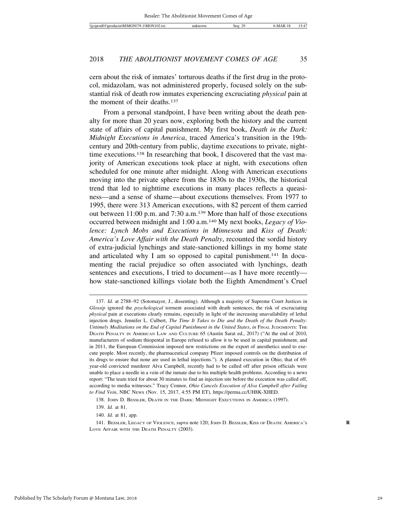cern about the risk of inmates' torturous deaths if the first drug in the protocol, midazolam, was not administered properly, focused solely on the substantial risk of death row inmates experiencing excruciating *physical* pain at the moment of their deaths.137

From a personal standpoint, I have been writing about the death penalty for more than 20 years now, exploring both the history and the current state of affairs of capital punishment. My first book, *Death in the Dark: Midnight Executions in America*, traced America's transition in the 19thcentury and 20th-century from public, daytime executions to private, nighttime executions.138 In researching that book, I discovered that the vast majority of American executions took place at night, with executions often scheduled for one minute after midnight. Along with American executions moving into the private sphere from the 1830s to the 1930s, the historical trend that led to nighttime executions in many places reflects a queasiness—and a sense of shame—about executions themselves. From 1977 to 1995, there were 313 American executions, with 82 percent of them carried out between 11:00 p.m. and 7:30 a.m.139 More than half of those executions occurred between midnight and 1:00 a.m.140 My next books, *Legacy of Violence: Lynch Mobs and Executions in Minnesota* and *Kiss of Death: America's Love Affair with the Death Penalty*, recounted the sordid history of extra-judicial lynchings and state-sanctioned killings in my home state and articulated why I am so opposed to capital punishment.141 In documenting the racial prejudice so often associated with lynchings, death sentences and executions, I tried to document—as I have more recently how state-sanctioned killings violate both the Eighth Amendment's Cruel

<sup>137.</sup> *Id.* at 2788–92 (Sotomayor, J., dissenting). Although a majority of Supreme Court Justices in *Glossip* ignored the *psychological* torment associated with death sentences, the risk of excruciating *physical* pain at executions clearly remains, especially in light of the increasing unavailability of lethal injection drugs. Jennifer L. Culbert, *The Time It Takes to Die and the Death of the Death Penalty: Untimely Meditations on the End of Capital Punishment in the United States*, *in* FINAL JUDGMENTS: THE DEATH PENALTY IN AMERICAN LAW AND CULTURE 65 (Austin Sarat ed., 2017) ("At the end of 2010, manufacturers of sodium thiopental in Europe refused to allow it to be used in capital punishment, and in 2011, the European Commission imposed new restrictions on the export of anesthetics used to execute people. Most recently, the pharmaceutical company Pfizer imposed controls on the distribution of its drugs to ensure that none are used in lethal injections."). A planned execution in Ohio, that of 69 year-old convicted murderer Alva Campbell, recently had to be called off after prison officials were unable to place a needle in a vein of the inmate due to his multiple health problems. According to a news report: "The team tried for about 30 minutes to find an injection site before the execution was called off, according to media witnesses." Tracy Connor, *Ohio Cancels Execution of Alva Campbell after Failing to Find Vein*, NBC NEWS (Nov. 15, 2017, 4:55 PM ET), https://perma.cc/UH8K-XHED.

<sup>138.</sup> JOHN D. BESSLER, DEATH IN THE DARK: MIDNIGHT EXECUTIONS IN AMERICA (1997).

<sup>139.</sup> *Id.* at 81.

<sup>140.</sup> *Id.* at 81, app.

<sup>141.</sup> BESSLER, LEGACY OF VIOLENCE, *supra* note 120; JOHN D. BESSLER, KISS OF DEATH: AMERICA'S **R** LOVE AFFAIR WITH THE DEATH PENALTY (2003).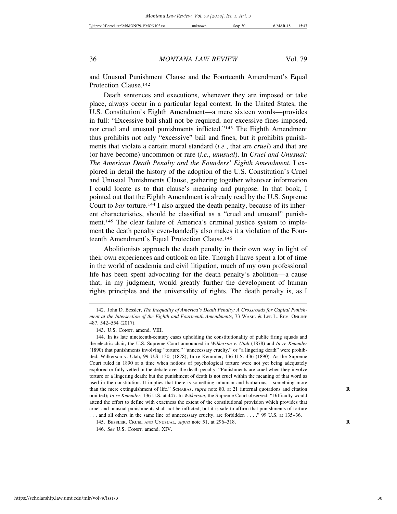and Unusual Punishment Clause and the Fourteenth Amendment's Equal Protection Clause.142

Death sentences and executions, whenever they are imposed or take place, always occur in a particular legal context. In the United States, the U.S. Constitution's Eighth Amendment—a mere sixteen words—provides in full: "Excessive bail shall not be required, nor excessive fines imposed, nor cruel and unusual punishments inflicted."143 The Eighth Amendment thus prohibits not only "excessive" bail and fines, but it prohibits punishments that violate a certain moral standard (*i.e.*, that are *cruel*) and that are (or have become) uncommon or rare (*i.e.*, *unusual*). In *Cruel and Unusual: The American Death Penalty and the Founders' Eighth Amendment*, I explored in detail the history of the adoption of the U.S. Constitution's Cruel and Unusual Punishments Clause, gathering together whatever information I could locate as to that clause's meaning and purpose. In that book, I pointed out that the Eighth Amendment is already read by the U.S. Supreme Court to *bar* torture.<sup>144</sup> I also argued the death penalty, because of its inherent characteristics, should be classified as a "cruel and unusual" punishment.145 The clear failure of America's criminal justice system to implement the death penalty even-handedly also makes it a violation of the Fourteenth Amendment's Equal Protection Clause.146

Abolitionists approach the death penalty in their own way in light of their own experiences and outlook on life. Though I have spent a lot of time in the world of academia and civil litigation, much of my own professional life has been spent advocating for the death penalty's abolition—a cause that, in my judgment, would greatly further the development of human rights principles and the universality of rights. The death penalty is, as I

<sup>142.</sup> John D. Bessler, *The Inequality of America's Death Penalty: A Crossroads for Capital Punishment at the Intersection of the Eighth and Fourteenth Amendments*, 73 WASH. & LEE L. REV. ONLINE 487, 542–554 (2017).

<sup>143.</sup> U.S. CONST. amend. VIII.

<sup>144.</sup> In its late nineteenth-century cases upholding the constitutionality of public firing squads and the electric chair, the U.S. Supreme Court announced in *Wilkerson v. Utah* (1878) and *In re Kemmler* (1890) that punishments involving "torture," "unnecessary cruelty," or "a lingering death" were prohibited. Wilkerson v. Utah, 99 U.S. 130, (1878); In re Kemmler, 136 U.S. 436 (1890). As the Supreme Court ruled in 1890 at a time when notions of psychological torture were not yet being adequately explored or fully vetted in the debate over the death penalty: "Punishments are cruel when they involve torture or a lingering death: but the punishment of death is not cruel within the meaning of that word as used in the constitution. It implies that there is something inhuman and barbarous,—something more than the mere extinguishment of life." SCHABAS, *supra* note 80, at 21 (internal quotations and citation **R** omitted); *In re Kemmler*, 136 U.S. at 447. In *Wilkerson*, the Supreme Court observed: "Difficulty would attend the effort to define with exactness the extent of the constitutional provision which provides that cruel and unusual punishments shall not be inflicted; but it is safe to affirm that punishments of torture . . . and all others in the same line of unnecessary cruelty, are forbidden . . . ." 99 U.S. at 135–36.

<sup>145.</sup> BESSLER, CRUEL AND UNUSUAL, *supra* note 51, at 296–318. **R**

<sup>146.</sup> *See* U.S. CONST. amend. XIV.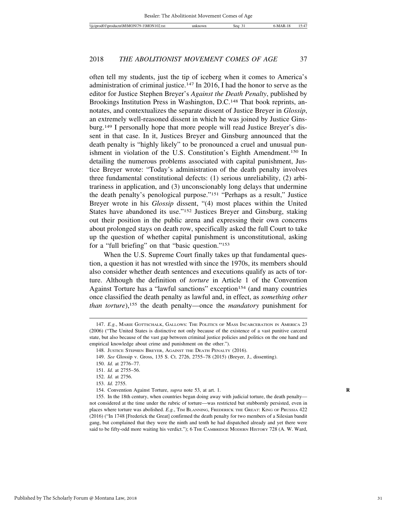often tell my students, just the tip of iceberg when it comes to America's administration of criminal justice.147 In 2016, I had the honor to serve as the editor for Justice Stephen Breyer's *Against the Death Penalty*, published by Brookings Institution Press in Washington, D.C.<sup>148</sup> That book reprints, annotates, and contextualizes the separate dissent of Justice Breyer in *Glossip*, an extremely well-reasoned dissent in which he was joined by Justice Ginsburg.149 I personally hope that more people will read Justice Breyer's dissent in that case. In it, Justices Breyer and Ginsburg announced that the death penalty is "highly likely" to be pronounced a cruel and unusual punishment in violation of the U.S. Constitution's Eighth Amendment.150 In detailing the numerous problems associated with capital punishment, Justice Breyer wrote: "Today's administration of the death penalty involves three fundamental constitutional defects: (1) serious unreliability, (2) arbitrariness in application, and (3) unconscionably long delays that undermine the death penalty's penological purpose."151 "Perhaps as a result," Justice Breyer wrote in his *Glossip* dissent, "(4) most places within the United States have abandoned its use."152 Justices Breyer and Ginsburg, staking out their position in the public arena and expressing their own concerns about prolonged stays on death row, specifically asked the full Court to take up the question of whether capital punishment is unconstitutional, asking for a "full briefing" on that "basic question."153

When the U.S. Supreme Court finally takes up that fundamental question, a question it has not wrestled with since the 1970s, its members should also consider whether death sentences and executions qualify as acts of torture. Although the definition of *torture* in Article 1 of the Convention Against Torture has a "lawful sanctions" exception<sup>154</sup> (and many countries once classified the death penalty as lawful and, in effect, as *something other than torture*),<sup>155</sup> the death penalty—once the *mandatory* punishment for

155. In the 18th century, when countries began doing away with judicial torture, the death penalty not considered at the time under the rubric of torture—was restricted but stubbornly persisted, even in places where torture was abolished. *E.g.*, TIM BLANNING, FREDERICK THE GREAT: KING OF PRUSSIA 422 (2016) ("In 1748 [Frederick the Great] confirmed the death penalty for two members of a Silesian bandit gang, but complained that they were the ninth and tenth he had dispatched already and yet there were said to be fifty-odd more waiting his verdict."); 6 THE CAMBRIDGE MODERN HISTORY 728 (A. W. Ward,

<sup>147.</sup> *E.g.*, MARIE GOTTSCHALK, GALLOWS: THE POLITICS OF MASS INCARCERATION IN AMERICA 23 (2006) ("The United States is distinctive not only because of the existence of a vast punitive carceral state, but also because of the vast gap between criminal justice policies and politics on the one hand and empirical knowledge about crime and punishment on the other.").

<sup>148.</sup> JUSTICE STEPHEN BREYER, AGAINST THE DEATH PENALTY (2016).

<sup>149.</sup> *See* Glossip v. Gross, 135 S. Ct. 2726, 2755–78 (2015) (Breyer, J., dissenting).

<sup>150.</sup> *Id.* at 2776–77.

<sup>151.</sup> *Id.* at 2755–56.

<sup>152.</sup> *Id.* at 2756.

<sup>153.</sup> *Id.* 2755.

<sup>154.</sup> Convention Against Torture, *supra* note 53, at art. 1. **R**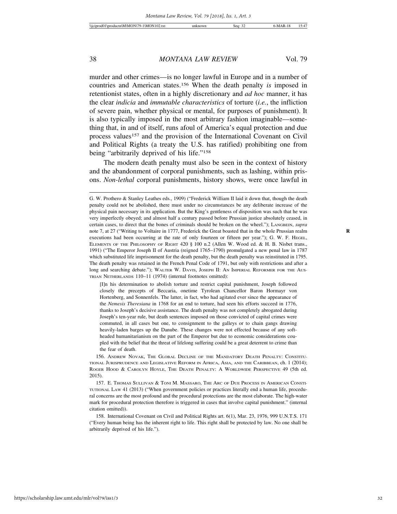murder and other crimes—is no longer lawful in Europe and in a number of countries and American states.156 When the death penalty *is* imposed in retentionist states, often in a highly discretionary and *ad hoc* manner, it has the clear *indicia* and *immutable characteristics* of torture (*i.e.*, the infliction of severe pain, whether physical or mental, for purposes of punishment). It is also typically imposed in the most arbitrary fashion imaginable—something that, in and of itself, runs afoul of America's equal protection and due process values<sup>157</sup> and the provision of the International Covenant on Civil and Political Rights (a treaty the U.S. has ratified) prohibiting one from being "arbitrarily deprived of his life."158

The modern death penalty must also be seen in the context of history and the abandonment of corporal punishments, such as lashing, within prisons. *Non-lethal* corporal punishments, history shows, were once lawful in

[I]n his determination to abolish torture and restrict capital punishment, Joseph followed closely the precepts of Beccaria, onetime Tyrolean Chancellor Baron Hormayr von Hortenberg, and Sonnenfels. The latter, in fact, who had agitated ever since the appearance of the *Nemesis Theresiana* in 1768 for an end to torture, had seen his efforts succeed in 1776, thanks to Joseph's decisive assistance. The death penalty was not completely abrogated during Joseph's ten-year rule, but death sentences imposed on those convicted of capital crimes were commuted, in all cases but one, to consignment to the galleys or to chain gangs drawing heavily-laden barges up the Danube. These changes were not effected because of any softheaded humanitarianism on the part of the Emperor but due to economic considerations coupled with the belief that the threat of lifelong suffering could be a great deterrent to crime than the fear of death.

G. W. Prothero & Stanley Leathes eds., 1909) ("Frederick William II laid it down that, though the death penalty could not be abolished, there must under no circumstances be any deliberate increase of the physical pain necessary in its application. But the King's gentleness of disposition was such that he was very imperfectly obeyed; and almost half a century passed before Prussian justice absolutely ceased, in certain cases, to direct that the bones of criminals should be broken on the wheel."); LANGBEIN, *supra* note 7, at 27 ("Writing to Voltaire in 1777, Frederick the Great boasted that in the whole Prussian realm **R** executions had been occurring at the rate of only fourteen or fifteen per year."); G. W. F. HEGEL, ELEMENTS OF THE PHILOSOPHY OF RIGHT 420 § 100 n.2 (Allen W. Wood ed. & H. B. Nisbet trans., 1991) ("The Emperor Joseph II of Austria (reigned 1765–1790) promulgated a new penal law in 1787 which substituted life imprisonment for the death penalty, but the death penalty was reinstituted in 1795. The death penalty was retained in the French Penal Code of 1791, but only with restrictions and after a long and searching debate."); WALTER W. DAVIS, JOSEPH II: AN IMPERIAL REFORMER FOR THE AUS-TRIAN NETHERLANDS 110–11 (1974) (internal footnotes omitted):

<sup>156.</sup> ANDREW NOVAK, THE GLOBAL DECLINE OF THE MANDATORY DEATH PENALTY: CONSTITU-TIONAL JURISPRUDENCE AND LEGISLATIVE REFORM IN AFRICA, ASIA, AND THE CARIBBEAN, ch. 1 (2014); ROGER HOOD & CAROLYN HOYLE, THE DEATH PENALTY: A WORLDWIDE PERSPECTIVE 49 (5th ed. 2015).

<sup>157.</sup> E. THOMAS SULLIVAN & TONI M. MASSARO, THE ARC OF DUE PROCESS IN AMERICAN CONSTI-TUTIONAL LAW 41 (2013) ("When government policies or practices literally end a human life, procedural concerns are the most profound and the procedural protections are the most elaborate. The high-water mark for procedural protection therefore is triggered in cases that involve capital punishment." (internal citation omitted)).

<sup>158.</sup> International Covenant on Civil and Political Rights art. 6(1), Mar. 23, 1976, 999 U.N.T.S. 171 ("Every human being has the inherent right to life. This right shall be protected by law. No one shall be arbitrarily deprived of his life.").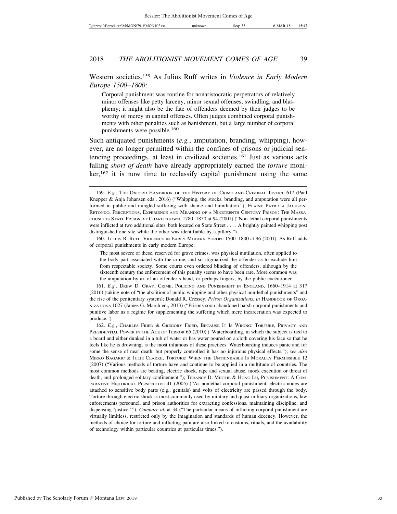Western societies.159 As Julius Ruff writes in *Violence in Early Modern Europe 1500*–*1800*:

Corporal punishment was routine for nonaristocratic perpetrators of relatively minor offenses like petty larceny, minor sexual offenses, swindling, and blasphemy; it might also be the fate of offenders deemed by their judges to be worthy of mercy in capital offenses. Often judges combined corporal punishments with other penalties such as banishment, but a large number of corporal punishments were possible.160

Such antiquated punishments (*e.g.*, amputation, branding, whipping), however, are no longer permitted within the confines of prisons or judicial sentencing proceedings, at least in civilized societies.161 Just as various acts falling *short of death* have already appropriately earned the *torture* moni- $\ker$ ,  $162$  it is now time to reclassify capital punishment using the same

160. JULIUS R. RUFF, VIOLENCE IN EARLY MODERN EUROPE 1500–1800 at 96 (2001). As Ruff adds of corporal punishments in early modern Europe:

The most severe of these, reserved for grave crimes, was physical mutilation, often applied to the body part associated with the crime, and so stigmatized the offender as to exclude him from respectable society. Some courts even ordered blinding of offenders, although by the sixteenth century the enforcement of this penalty seems to have been rare. More common was the amputation by ax of an offender's hand, or perhaps fingers, by the public executioner.

161. *E.g.*, DREW D. GRAY, CRIME, POLICING AND PUNISHMENT IN ENGLAND, 1660–1914 at 317 (2016) (taking note of "the abolition of public whipping and other physical non-lethal punishments" and the rise of the penitentiary system); Donald R. Cressey, *Prison Organizations*, *in* HANDBOOK OF ORGA-NIZATIONS 1027 (James G. March ed., 2013) ("Prisons soon abandoned harsh corporal punishments and punitive labor as a regime for supplementing the suffering which mere incarceration was expected to produce.").

<sup>159.</sup> *E.g.*, THE OXFORD HANDBOOK OF THE HISTORY OF CRIME AND CRIMINAL JUSTICE 617 (Paul Knepper & Anja Johansen eds., 2016) ("Whipping, the stocks, branding, and amputation were all performed in public and mingled suffering with shame and humiliation."); ELAINE PATRICIA JACKSON-RETONDO, PERCEPTIONS, EXPERIENCE AND MEANING OF A NINETEENTH CENTURY PRISON: THE MASSA-CHUSETTS STATE PRISON AT CHARLESTOWN, 1780–1850 at 94 (2001) ("Non-lethal corporal punishments were inflicted at two additional sites, both located on State Street . . . . A brightly painted whipping post distinguished one site while the other was identifiable by a pillory.").

<sup>162.</sup> *E.g.*, CHARLES FRIED & GREGORY FRIED, BECAUSE IT IS WRONG: TORTURE, PRIVACY AND PRESIDENTIAL POWER IN THE AGE OF TERROR 65 (2010) ("Waterboarding, in which the subject is tied to a board and either dunked in a tub of water or has water poured on a cloth covering his face so that he feels like he is drowning, is the most infamous of these practices. Waterboarding induces panic and for some the sense of near death, but properly controlled it has no injurious physical effects."); *see also* MIRKO BAGARIC & JULIE CLARKE, TORTURE: WHEN THE UNTHINKABLE IS MORALLY PERMISSIBLE 12 (2007) ("Various methods of torture have and continue to be applied in a multitude of countries. The most common methods are beating, electric shock, rape and sexual abuse, mock execution or threat of death, and prolonged solitary confinement."); TERANCE D. MIETHE & HONG LU, PUNISHMENT: A COM-PARATIVE HISTORICAL PERSPECTIVE 41 (2005) ("As nonlethal corporal punishment, electric nodes are attached to sensitive body parts (e.g., genitals) and volts of electricity are passed through the body. Torture through electric shock is most commonly used by military and quasi-military organizations, law enforcements personnel, and prison authorities for extracting confessions, maintaining discipline, and dispensing 'justice.'"). *Compare id.* at 34 ("The particular means of inflicting corporal punishment are virtually limitless, restricted only by the imagination and standards of human decency. However, the methods of choice for torture and inflicting pain are also linked to customs, rituals, and the availability of technology within particular countries at particular times.").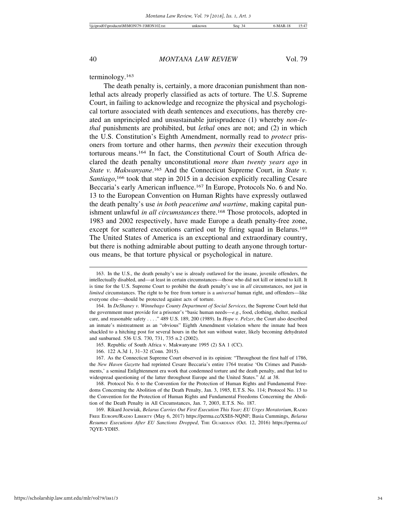terminology.163

The death penalty is, certainly, a more draconian punishment than nonlethal acts already properly classified as acts of torture. The U.S. Supreme Court, in failing to acknowledge and recognize the physical and psychological torture associated with death sentences and executions, has thereby created an unprincipled and unsustainable jurisprudence (1) whereby *non-lethal* punishments are prohibited, but *lethal* ones are not; and (2) in which the U.S. Constitution's Eighth Amendment, normally read to *protect* prisoners from torture and other harms, then *permits* their execution through torturous means.164 In fact, the Constitutional Court of South Africa declared the death penalty unconstitutional *more than twenty years ago* in *State v. Makwanyane*. 165 And the Connecticut Supreme Court, in *State v.* Santiago,<sup>166</sup> took that step in 2015 in a decision explicitly recalling Cesare Beccaria's early American influence.167 In Europe, Protocols No. 6 and No. 13 to the European Convention on Human Rights have expressly outlawed the death penalty's use *in both peacetime and wartime*, making capital punishment unlawful *in all circumstances* there.<sup>168</sup> Those protocols, adopted in 1983 and 2002 respectively, have made Europe a death penalty-free zone, except for scattered executions carried out by firing squad in Belarus.<sup>169</sup> The United States of America is an exceptional and extraordinary country, but there is nothing admirable about putting to death anyone through torturous means, be that torture physical or psychological in nature.

<sup>163.</sup> In the U.S., the death penalty's use is already outlawed for the insane, juvenile offenders, the intellectually disabled, and—at least in certain circumstances—those who did not kill or intend to kill. It is time for the U.S. Supreme Court to prohibit the death penalty's use in *all* circumstances, not just in *limited* circumstances. The right to be free from torture is a *universal* human right, and offenders—like everyone else—should be protected against acts of torture.

<sup>164.</sup> In *DeShaney v. Winnebago County Department of Social Services*, the Supreme Court held that the government must provide for a prisoner's "basic human needs—*e.g*., food, clothing, shelter, medical care, and reasonable safety . . . ." 489 U.S. 189, 200 (1989). In *Hope v. Pelzer*, the Court also described an inmate's mistreatment as an "obvious" Eighth Amendment violation where the inmate had been shackled to a hitching post for several hours in the hot sun without water, likely becoming dehydrated and sunburned. 536 U.S. 730, 731, 735 n.2 (2002).

<sup>165.</sup> Republic of South Africa v. Makwanyane 1995 (2) SA 1 (CC).

<sup>166. 122</sup> A.3d 1, 31–32 (Conn. 2015).

<sup>167.</sup> As the Connecticut Supreme Court observed in its opinion: "Throughout the first half of 1786, the *New Haven Gazette* had reprinted Cesare Beccaria's entire 1764 treatise 'On Crimes and Punishments,' a seminal Enlightenment era work that condemned torture and the death penalty, and that led to widespread questioning of the latter throughout Europe and the United States." *Id.* at 38.

<sup>168.</sup> Protocol No. 6 to the Convention for the Protection of Human Rights and Fundamental Freedoms Concerning the Abolition of the Death Penalty, Jan. 3, 1985, E.T.S. No. 114; Protocol No. 13 to the Convention for the Protection of Human Rights and Fundamental Freedoms Concerning the Abolition of the Death Penalty in All Circumstances, Jan. 7, 2003, E.T.S. No. 187.

<sup>169.</sup> Rikard Jozwiak, *Belarus Carries Out First Execution This Year; EU Urges Moratorium*, RADIO FREE EUROPE/RADIO LIBERTY (May 6, 2017) https://perma.cc/XSE6-NQNF; Basia Cummings, *Belarus Resumes Executions After EU Sanctions Dropped*, THE GUARDIAN (Oct. 12, 2016) https://perma.cc/ 7QYE-YDH5.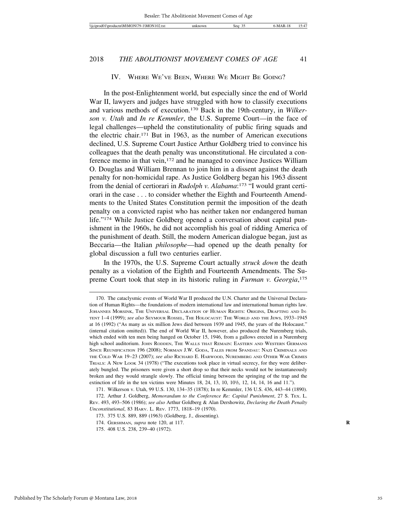#### IV. WHERE WE'VE BEEN, WHERE WE MIGHT BE GOING?

In the post-Enlightenment world, but especially since the end of World War II, lawyers and judges have struggled with how to classify executions and various methods of execution.170 Back in the 19th-century, in *Wilkerson v. Utah* and *In re Kemmler*, the U.S. Supreme Court—in the face of legal challenges—upheld the constitutionality of public firing squads and the electric chair.171 But in 1963, as the number of American executions declined, U.S. Supreme Court Justice Arthur Goldberg tried to convince his colleagues that the death penalty was unconstitutional. He circulated a conference memo in that vein,172 and he managed to convince Justices William O. Douglas and William Brennan to join him in a dissent against the death penalty for non-homicidal rape. As Justice Goldberg began his 1963 dissent from the denial of certiorari in *Rudolph v. Alabama*:173 "I would grant certiorari in the case . . . to consider whether the Eighth and Fourteenth Amendments to the United States Constitution permit the imposition of the death penalty on a convicted rapist who has neither taken nor endangered human life."<sup>174</sup> While Justice Goldberg opened a conversation about capital punishment in the 1960s, he did not accomplish his goal of ridding America of the punishment of death. Still, the modern American dialogue began, just as Beccaria—the Italian *philosophe*—had opened up the death penalty for global discussion a full two centuries earlier.

In the 1970s, the U.S. Supreme Court actually *struck down* the death penalty as a violation of the Eighth and Fourteenth Amendments. The Supreme Court took that step in its historic ruling in *Furman v. Georgia*, 175

<sup>170.</sup> The cataclysmic events of World War II produced the U.N. Charter and the Universal Declaration of Human Rights—the foundations of modern international law and international human rights law. JOHANNES MORSINK, THE UNIVERSAL DECLARATION OF HUMAN RIGHTS: ORIGINS, DRAFTING AND IN-TENT 1–4 (1999); *see also* SEYMOUR ROSSEL, THE HOLOCAUST: THE WORLD AND THE JEWS, 1933–1945 at 16 (1992) ("As many as six million Jews died between 1939 and 1945, the years of the Holocaust." (internal citation omitted)). The end of World War II, however, also produced the Nuremberg trials, which ended with ten men being hanged on October 15, 1946, from a gallows erected in a Nuremberg high school auditorium. JOHN RODDEN, THE WALLS THAT REMAIN: EASTERN AND WESTERN GERMANS SINCE REUNIFICATION 196 (2008); NORMAN J.W. GODA, TALES FROM SPANDAU: NAZI CRIMINALS AND THE COLD WAR 19–23 (2007); *see also* RICHARD E. HARWOOD, NUREMBERG AND OTHER WAR CRIMES TRIALS: A NEW LOOK 34 (1978) ("The executions took place in virtual secrecy, for they were deliberately bungled. The prisoners were given a short drop so that their necks would not be instantaneously broken and they would strangle slowly. The official timing between the springing of the trap and the extinction of life in the ten victims were Minutes 18, 24, 13, 10,  $10^{1/2}$ , 12, 14, 14, 16 and 11.").

<sup>171.</sup> Wilkerson v. Utah, 99 U.S. 130, 134–35 (1878); In re Kemmler, 136 U.S. 436, 443–44 (1890).

<sup>172.</sup> Arthur J. Goldberg, *Memorandum to the Conference Re: Capital Punishment*, 27 S. TEX. L. REV. 493, 493–506 (1986); *see also* Arthur Goldberg & Alan Dershowitz, *Declaring the Death Penalty Unconstitutional*, 83 HARV. L. REV. 1773, 1818–19 (1970).

<sup>173. 375</sup> U.S. 889, 889 (1963) (Goldberg, J., dissenting).

<sup>174.</sup> GERSHMAN, *supra* note 120, at 117. **R**

<sup>175. 408</sup> U.S. 238, 239–40 (1972).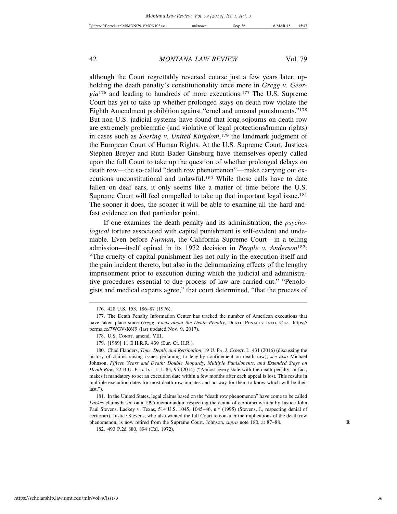although the Court regrettably reversed course just a few years later, upholding the death penalty's constitutionality once more in *Gregg v. Georgia*176 and leading to hundreds of more executions.177 The U.S. Supreme Court has yet to take up whether prolonged stays on death row violate the Eighth Amendment prohibition against "cruel and unusual punishments."178 But non-U.S. judicial systems have found that long sojourns on death row are extremely problematic (and violative of legal protections/human rights) in cases such as *Soering v. United Kingdom*, 179 the landmark judgment of the European Court of Human Rights. At the U.S. Supreme Court, Justices Stephen Breyer and Ruth Bader Ginsburg have themselves openly called upon the full Court to take up the question of whether prolonged delays on death row—the so-called "death row phenomenon"—make carrying out executions unconstitutional and unlawful.180 While those calls have to date fallen on deaf ears, it only seems like a matter of time before the U.S. Supreme Court will feel compelled to take up that important legal issue.<sup>181</sup> The sooner it does, the sooner it will be able to examine all the hard-andfast evidence on that particular point.

If one examines the death penalty and its administration, the *psychological* torture associated with capital punishment is self-evident and undeniable. Even before *Furman*, the California Supreme Court—in a telling admission—itself opined in its 1972 decision in *People v. Anderson*182: "The cruelty of capital punishment lies not only in the execution itself and the pain incident thereto, but also in the dehumanizing effects of the lengthy imprisonment prior to execution during which the judicial and administrative procedures essential to due process of law are carried out." "Penologists and medical experts agree," that court determined, "that the process of

<sup>176. 428</sup> U.S. 153, 186–87 (1976).

<sup>177.</sup> The Death Penalty Information Center has tracked the number of American executions that have taken place since *Gregg*. *Facts about the Death Penalty*, DEATH PENALTY INFO. CTR., https:// perma.cc/7WGV-K6J9 (last updated Nov. 9, 2017).

<sup>178.</sup> U.S. CONST. amend. VIII.

<sup>179. [1989] 11</sup> E.H.R.R. 439 (Eur. Ct. H.R.).

<sup>180.</sup> Chad Flanders, *Time, Death, and Retribution*, 19 U. PA. J. CONST. L. 431 (2016) (discussing the history of claims raising issues pertaining to lengthy confinement on death row); *see also* Michael Johnson, *Fifteen Years and Death: Double Jeopardy, Multiple Punishments, and Extended Stays on Death Row*, 22 B.U. PUB. INT. L.J. 85, 95 (2014) ("Almost every state with the death penalty, in fact, makes it mandatory to set an execution date within a few months after each appeal is lost. This results in multiple execution dates for most death row inmates and no way for them to know which will be their last.").

<sup>181.</sup> In the United States, legal claims based on the "death row phenomenon" have come to be called *Lackey* claims based on a 1995 memorandum respecting the denial of certiorari written by Justice John Paul Stevens. Lackey v. Texas, 514 U.S. 1045, 1045–46, n.\* (1995) (Stevens, J., respecting denial of certiorari). Justice Stevens, who also wanted the full Court to consider the implications of the death row phenomenon, is now retired from the Supreme Court. Johnson, *supra* note 180, at 87–88. **R**

<sup>182. 493</sup> P.2d 880, 894 (Cal. 1972).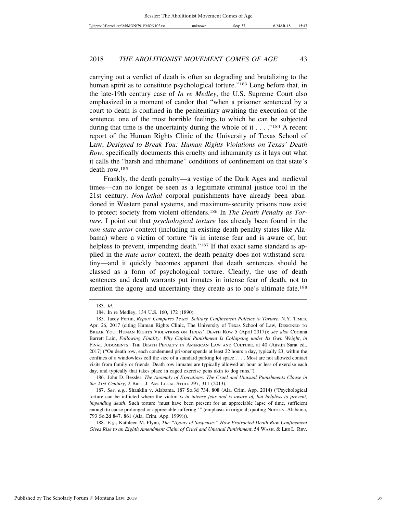carrying out a verdict of death is often so degrading and brutalizing to the human spirit as to constitute psychological torture."<sup>183</sup> Long before that, in the late-19th century case of *In re Medley*, the U.S. Supreme Court also emphasized in a moment of candor that "when a prisoner sentenced by a court to death is confined in the penitentiary awaiting the execution of the sentence, one of the most horrible feelings to which he can be subjected during that time is the uncertainty during the whole of it . . . ."184 A recent report of the Human Rights Clinic of the University of Texas School of Law, *Designed to Break You: Human Rights Violations on Texas' Death Row*, specifically documents this cruelty and inhumanity as it lays out what it calls the "harsh and inhumane" conditions of confinement on that state's death row.185

Frankly, the death penalty—a vestige of the Dark Ages and medieval times—can no longer be seen as a legitimate criminal justice tool in the 21st century. *Non-lethal* corporal punishments have already been abandoned in Western penal systems, and maximum-security prisons now exist to protect society from violent offenders.186 In *The Death Penalty as Torture*, I point out that *psychological torture* has already been found in the *non-state actor* context (including in existing death penalty states like Alabama) where a victim of torture "is in intense fear and is aware of, but helpless to prevent, impending death."<sup>187</sup> If that exact same standard is applied in the *state actor* context, the death penalty does not withstand scrutiny—and it quickly becomes apparent that death sentences should be classed as a form of psychological torture. Clearly, the use of death sentences and death warrants put inmates in intense fear of death, not to mention the agony and uncertainty they create as to one's ultimate fate.188

186. John D. Bessler, *The Anomaly of Executions: The Cruel and Unusual Punishments Clause in the 21st Century*, 2 BRIT. J. AM. LEGAL STUD. 297, 311 (2013).

188. *E.g.*, Kathleen M. Flynn, *The "Agony of Suspense:" How Protracted Death Row Confinement Gives Rise to an Eighth Amendment Claim of Cruel and Unusual Punishment*, 54 WASH. & LEE L. REV.

<sup>183.</sup> *Id.*

<sup>184.</sup> In re Medley, 134 U.S. 160, 172 (1890).

<sup>185.</sup> Jacey Fortin, *Report Compares Texas' Solitary Confinement Policies to Torture*, N.Y. TIMES, Apr. 26, 2017 (citing Human Rights Clinic, The University of Texas School of Law, DESIGNED TO BREAK YOU: HUMAN RIGHTS VIOLATIONS ON TEXAS' DEATH ROW 5 (April 2017)); *see also* Corinna Barrett Lain, *Following Finality: Why Capital Punishment Is Collapsing under Its Own Weight*, *in* FINAL JUDGMENTS: THE DEATH PENALTY IN AMERICAN LAW AND CULTURE, at 40 (Austin Sarat ed., 2017) ("On death row, each condemned prisoner spends at least 22 hours a day, typically 23, within the confines of a windowless cell the size of a standard parking lot space . . . . Most are not allowed contact visits from family or friends. Death row inmates are typically allowed an hour or less of exercise each day, and typically that takes place in caged exercise pens akin to dog runs.").

<sup>187.</sup> *See, e.g.*, Shanklin v. Alabama, 187 So.3d 734, 808 (Ala. Crim. App. 2014) ("Psychological torture can be inflicted where the victim *is in intense fear and is aware of, but helpless to prevent, impending death*. Such torture 'must have been present for an appreciable lapse of time, sufficient enough to cause prolonged or appreciable suffering.'" (emphasis in original; quoting Norris v. Alabama, 793 So.2d 847, 861 (Ala. Crim. App. 1999))).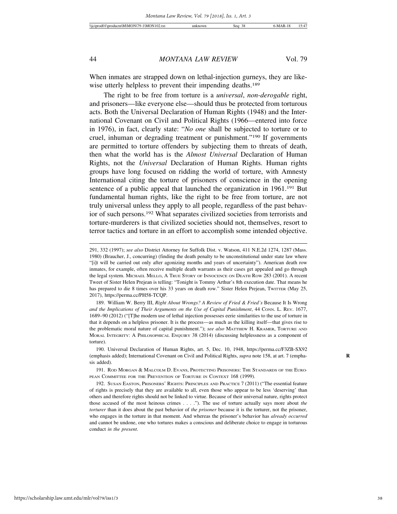When inmates are strapped down on lethal-injection gurneys, they are likewise utterly helpless to prevent their impending deaths.<sup>189</sup>

The right to be free from torture is a *universal*, *non-derogable* right, and prisoners—like everyone else—should thus be protected from torturous acts. Both the Universal Declaration of Human Rights (1948) and the International Covenant on Civil and Political Rights (1966—entered into force in 1976), in fact, clearly state: "*No one* shall be subjected to torture or to cruel, inhuman or degrading treatment or punishment."190 If governments are permitted to torture offenders by subjecting them to threats of death, then what the world has is the *Almost Universal* Declaration of Human Rights, not the *Universal* Declaration of Human Rights. Human rights groups have long focused on ridding the world of torture, with Amnesty International citing the torture of prisoners of conscience in the opening sentence of a public appeal that launched the organization in 1961.<sup>191</sup> But fundamental human rights, like the right to be free from torture, are not truly universal unless they apply to all people, regardless of the past behavior of such persons.192 What separates civilized societies from terrorists and torture-murderers is that civilized societies should not, themselves, resort to terror tactics and torture in an effort to accomplish some intended objective.

189. William W. Berry III, *Right About Wrongs? A Review of Fried & Fried's* Because It Is Wrong *and the Implications of Their Arguments on the Use of Capital Punishment*, 44 CONN. L. REV. 1677, 1689–90 (2012) ("[T]he modern use of lethal injection possesses eerie similarities to the use of torture in that it depends on a helpless prisoner. It is the process—as much as the killing itself—that gives rise to the problematic moral nature of capital punishment."); *see also* MATTHEW H. KRAMER, TORTURE AND MORAL INTEGRITY: A PHILOSOPHICAL ENQUIRY 38 (2014) (discussing helplessness as a component of torture).

190. Universal Declaration of Human Rights, art. 5, Dec. 10, 1948, https://perma.cc/F3ZB-SX92 (emphasis added); International Covenant on Civil and Political Rights, *supra* note 158, at art. 7 (empha- **R** sis added).

191. ROD MORGAN & MALCOLM D. EVANS, PROTECTING PRISONERS: THE STANDARDS OF THE EURO-PEAN COMMITTEE FOR THE PREVENTION OF TORTURE IN CONTEXT 168 (1999).

192. SUSAN EASTON, PRISONERS' RIGHTS: PRINCIPLES AND PRACTICE 7 (2011) ("The essential feature of rights is precisely that they are available to all, even those who appear to be less 'deserving' than others and therefore rights should not be linked to virtue. Because of their universal nature, rights protect those accused of the most heinous crimes . . . ."). The use of torture actually says more about *the torturer* than it does about the past behavior of *the prisoner* because it is the torturer, not the prisoner, who engages in the torture in that moment. And whereas the prisoner's behavior has *already occurred* and cannot be undone, one who tortures makes a conscious and deliberate choice to engage in torturous conduct *in the present*.

<sup>291, 332 (1997);</sup> *see also* District Attorney for Suffolk Dist. v. Watson, 411 N.E.2d 1274, 1287 (Mass. 1980) (Braucher, J., concurring) (finding the death penalty to be unconstitutional under state law where "[i]t will be carried out only after agonizing months and years of uncertainty"). American death row inmates, for example, often receive multiple death warrants as their cases get appealed and go through the legal system. MICHAEL MELLO, A TRUE STORY OF INNOCENCE ON DEATH ROW 283 (2001). A recent Tweet of Sister Helen Prejean is telling: "Tonight is Tommy Arthur's 8th execution date. That means he has prepared to die 8 times over his 33 years on death row." Sister Helen Prejean, TwITTER (May 25, 2017), https://perma.cc/PH58-TCQP.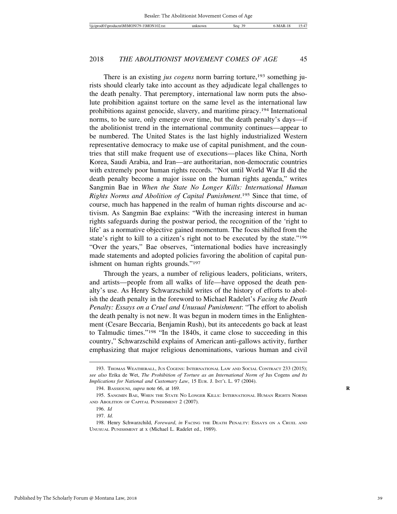There is an existing *jus cogens* norm barring torture,<sup>193</sup> something jurists should clearly take into account as they adjudicate legal challenges to the death penalty. That peremptory, international law norm puts the absolute prohibition against torture on the same level as the international law prohibitions against genocide, slavery, and maritime piracy.194 International norms, to be sure, only emerge over time, but the death penalty's days—if the abolitionist trend in the international community continues—appear to be numbered. The United States is the last highly industrialized Western representative democracy to make use of capital punishment, and the countries that still make frequent use of executions—places like China, North Korea, Saudi Arabia, and Iran—are authoritarian, non-democratic countries with extremely poor human rights records. "Not until World War II did the death penalty become a major issue on the human rights agenda," writes Sangmin Bae in *When the State No Longer Kills: International Human Rights Norms and Abolition of Capital Punishment*. 195 Since that time, of course, much has happened in the realm of human rights discourse and activism. As Sangmin Bae explains: "With the increasing interest in human rights safeguards during the postwar period, the recognition of the 'right to life' as a normative objective gained momentum. The focus shifted from the state's right to kill to a citizen's right not to be executed by the state."196 "Over the years," Bae observes, "international bodies have increasingly made statements and adopted policies favoring the abolition of capital punishment on human rights grounds."197

Through the years, a number of religious leaders, politicians, writers, and artists—people from all walks of life—have opposed the death penalty's use. As Henry Schwarzschild writes of the history of efforts to abolish the death penalty in the foreword to Michael Radelet's *Facing the Death Penalty: Essays on a Cruel and Unusual Punishment*: "The effort to abolish the death penalty is not new. It was begun in modern times in the Enlightenment (Cesare Beccaria, Benjamin Rush), but its antecedents go back at least to Talmudic times."198 "In the 1840s, it came close to succeeding in this country," Schwarzschild explains of American anti-gallows activity, further emphasizing that major religious denominations, various human and civil

<sup>193.</sup> THOMAS WEATHERALL, JUS COGENS: INTERNATIONAL LAW AND SOCIAL CONTRACT 233 (2015); *see also* Erika de Wet, *The Prohibition of Torture as an International Norm of* Jus Cogens *and Its Implications for National and Customary Law*, 15 EUR. J. INT'L L. 97 (2004).

<sup>194.</sup> BASSIOUNI, *supra* note 66, at 169. **R**

<sup>195.</sup> SANGMIN BAE, WHEN THE STATE NO LONGER KILLS: INTERNATIONAL HUMAN RIGHTS NORMS AND ABOLITION OF CAPITAL PUNISHMENT 2 (2007).

<sup>196.</sup> *Id*

<sup>197.</sup> *Id.*

<sup>198.</sup> Henry Schwarzchild, *Foreward*, *in* FACING THE DEATH PENALTY: ESSAYS ON A CRUEL AND UNUSUAL PUNISHMENT at x (Michael L. Radelet ed., 1989).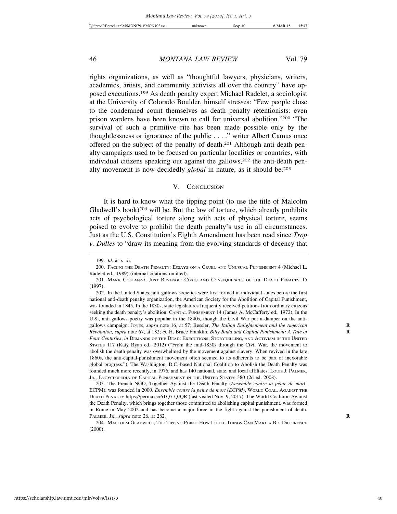rights organizations, as well as "thoughtful lawyers, physicians, writers, academics, artists, and community activists all over the country" have opposed executions.199 As death penalty expert Michael Radelet, a sociologist at the University of Colorado Boulder, himself stresses: "Few people close to the condemned count themselves as death penalty retentionists: even prison wardens have been known to call for universal abolition."200 "The survival of such a primitive rite has been made possible only by the thoughtlessness or ignorance of the public . . . ." writer Albert Camus once offered on the subject of the penalty of death.201 Although anti-death penalty campaigns used to be focused on particular localities or countries, with individual citizens speaking out against the gallows,  $202$  the anti-death penalty movement is now decidedly *global* in nature, as it should be.203

#### V. CONCLUSION

It is hard to know what the tipping point (to use the title of Malcolm Gladwell's book)<sup>204</sup> will be. But the law of torture, which already prohibits acts of psychological torture along with acts of physical torture, seems poised to evolve to prohibit the death penalty's use in all circumstances. Just as the U.S. Constitution's Eighth Amendment has been read since *Trop v. Dulles* to "draw its meaning from the evolving standards of decency that

202. In the United States, anti-gallows societies were first formed in individual states before the first national anti-death penalty organization, the American Society for the Abolition of Capital Punishment, was founded in 1845. In the 1830s, state legislatures frequently received petitions from ordinary citizens seeking the death penalty's abolition. CAPITAL PUNISHMENT 14 (James A. McCafferty ed., 1972). In the U.S., anti-gallows poetry was popular in the 1840s, though the Civil War put a damper on the antigallows campaign. JONES, *supra* note 16, at 57; Bessler, *The Italian Enlightenment and the American* **R** *Revolution, supra* note 67, at 182; *cf.* H. Bruce Franklin, *Billy Budd and Capital Punishment: A Tale of* **R** *Four Centuries*, *in* DEMANDS OF THE DEAD: EXECUTIONS, STORYTELLING, AND ACTIVISM IN THE UNITED STATES 117 (Katy Ryan ed., 2012) ("From the mid-1850s through the Civil War, the movement to abolish the death penalty was overwhelmed by the movement against slavery. When revived in the late 1860s, the anti-capital-punishment movement often seemed to its adherents to be part of inexorable global progress."). The Washington, D.C.-based National Coalition to Abolish the Death Penalty was founded much more recently, in 1976, and has 140 national, state, and local affiliates. Louis J. PALMER, JR., ENCYCLOPEDIA OF CAPITAL PUNISHMENT IN THE UNITED STATES 380 (2d ed. 2008).

203. The French NGO, Together Against the Death Penalty (*Ensemble contre la peine de mor*t-ECPM), was founded in 2000. *Ensemble contre la peine de mort (ECPM)*, WORLD COAL. AGAINST THE DEATH PENALTY https://perma.cc/6TQ7-QJQR (last visited Nov. 9, 2017). The World Coalition Against the Death Penalty, which brings together those committed to abolishing capital punishment, was formed in Rome in May 2002 and has become a major force in the fight against the punishment of death. PALMER, JR., *supra* note 26, at 282. **R**

204. MALCOLM GLADWELL, THE TIPPING POINT: HOW LITTLE THINGS CAN MAKE A BIG DIFFERENCE (2000).

<sup>199.</sup> *Id.* at x–xi.

<sup>200.</sup> FACING THE DEATH PENALTY: ESSAYS ON A CRUEL AND UNUSUAL PUNISHMENT 4 (Michael L. Radelet ed., 1989) (internal citations omitted).

<sup>201.</sup> MARK COSTANZO, JUST REVENGE: COSTS AND CONSEQUENCES OF THE DEATH PENALTY 15 (1997).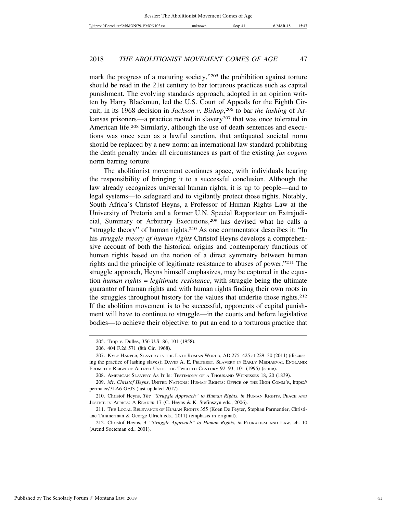mark the progress of a maturing society,"<sup>205</sup> the prohibition against torture should be read in the 21st century to bar torturous practices such as capital punishment. The evolving standards approach, adopted in an opinion written by Harry Blackmun, led the U.S. Court of Appeals for the Eighth Circuit, in its 1968 decision in *Jackson v. Bishop*, 206 to bar *the lashing* of Arkansas prisoners—a practice rooted in slavery<sup>207</sup> that was once tolerated in American life.208 Similarly, although the use of death sentences and executions was once seen as a lawful sanction, that antiquated societal norm should be replaced by a new norm: an international law standard prohibiting the death penalty under all circumstances as part of the existing *jus cogens* norm barring torture.

The abolitionist movement continues apace, with individuals bearing the responsibility of bringing it to a successful conclusion. Although the law already recognizes universal human rights, it is up to people—and to legal systems—to safeguard and to vigilantly protect those rights. Notably, South Africa's Christof Heyns, a Professor of Human Rights Law at the University of Pretoria and a former U.N. Special Rapporteur on Extrajudicial, Summary or Arbitrary Executions,<sup>209</sup> has devised what he calls a "struggle theory" of human rights.210 As one commentator describes it: "In his *struggle theory of human rights* Christof Heyns develops a comprehensive account of both the historical origins and contemporary functions of human rights based on the notion of a direct symmetry between human rights and the principle of legitimate resistance to abuses of power."211 The struggle approach, Heyns himself emphasizes, may be captured in the equation *human rights* = *legitimate resistance*, with struggle being the ultimate guarantor of human rights and with human rights finding their own roots in the struggles throughout history for the values that underlie those rights.212 If the abolition movement is to be successful, opponents of capital punishment will have to continue to struggle—in the courts and before legislative bodies—to achieve their objective: to put an end to a torturous practice that

<sup>205.</sup> Trop v. Dulles, 356 U.S. 86, 101 (1958).

<sup>206. 404</sup> F.2d 571 (8th Cir. 1968).

<sup>207.</sup> KYLE HARPER, SLAVERY IN THE LATE ROMAN WORLD, AD 275–425 at 229–30 (2011) (discussing the practice of lashing slaves); DAVID A. E. PELTERET, SLAVERY IN EARLY MEDIAEVAL ENGLAND: FROM THE REIGN OF ALFRED UNTIL THE TWELFTH CENTURY 92-93, 101 (1995) (same).

<sup>208.</sup> AMERICAN SLAVERY AS IT IS: TESTIMONY OF A THOUSAND WITNESSES 18, 20 (1839).

<sup>209.</sup> *Mr. Christof Heyns*, UNITED NATIONS: HUMAN RIGHTS: OFFICE OF THE HIGH COMM'R, https:// perma.cc/7LA6-GFJ3 (last updated 2017).

<sup>210.</sup> Christof Heyns, *The "Struggle Approach" to Human Rights*, *in* HUMAN RIGHTS, PEACE AND JUSTICE IN AFRICA: A READER 17 (C. Heyns & K. Stefinszyn eds., 2006).

<sup>211.</sup> THE LOCAL RELEVANCE OF HUMAN RIGHTS 355 (Koen De Feyter, Stephan Parmentier, Christiane Timmerman & George Ulrich eds., 2011) (emphasis in original).

<sup>212.</sup> Christof Heyns, *A "Struggle Approach" to Human Rights*, *in* PLURALISM AND LAW, ch. 10 (Arend Soeteman ed., 2001).